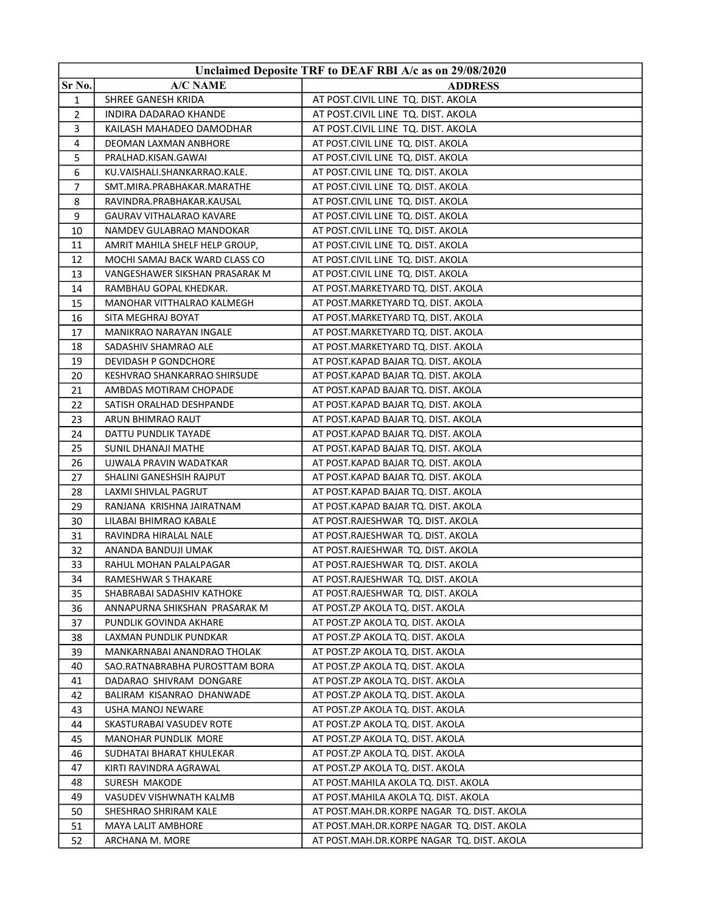| Unclaimed Deposite TRF to DEAF RBI A/c as on 29/08/2020 |                                 |                                            |
|---------------------------------------------------------|---------------------------------|--------------------------------------------|
| Sr No.                                                  | <b>A/C NAME</b>                 | <b>ADDRESS</b>                             |
| 1                                                       | SHREE GANESH KRIDA              | AT POST.CIVIL LINE TQ. DIST. AKOLA         |
| 2                                                       | INDIRA DADARAO KHANDE           | AT POST.CIVIL LINE TQ. DIST. AKOLA         |
| 3                                                       | KAILASH MAHADEO DAMODHAR        | AT POST.CIVIL LINE TQ. DIST. AKOLA         |
| 4                                                       | DEOMAN LAXMAN ANBHORE           | AT POST.CIVIL LINE TQ. DIST. AKOLA         |
| 5                                                       | PRALHAD.KISAN.GAWAI             | AT POST.CIVIL LINE TQ. DIST. AKOLA         |
| 6                                                       | KU.VAISHALI.SHANKARRAO.KALE.    | AT POST.CIVIL LINE TQ. DIST. AKOLA         |
| 7                                                       | SMT.MIRA.PRABHAKAR.MARATHE      | AT POST.CIVIL LINE TQ. DIST. AKOLA         |
| 8                                                       | RAVINDRA.PRABHAKAR.KAUSAL       | AT POST.CIVIL LINE TQ. DIST. AKOLA         |
| 9                                                       | <b>GAURAV VITHALARAO KAVARE</b> | AT POST.CIVIL LINE TQ. DIST. AKOLA         |
| 10                                                      | NAMDEV GULABRAO MANDOKAR        | AT POST.CIVIL LINE TQ. DIST. AKOLA         |
| 11                                                      | AMRIT MAHILA SHELF HELP GROUP,  | AT POST.CIVIL LINE TQ. DIST. AKOLA         |
| 12                                                      | MOCHI SAMAJ BACK WARD CLASS CO  | AT POST.CIVIL LINE TQ. DIST. AKOLA         |
| 13                                                      | VANGESHAWER SIKSHAN PRASARAK M  | AT POST.CIVIL LINE TQ. DIST. AKOLA         |
| 14                                                      | RAMBHAU GOPAL KHEDKAR.          | AT POST. MARKETYARD TQ. DIST. AKOLA        |
| 15                                                      | MANOHAR VITTHALRAO KALMEGH      | AT POST.MARKETYARD TQ. DIST. AKOLA         |
| 16                                                      | SITA MEGHRAJ BOYAT              | AT POST.MARKETYARD TQ. DIST. AKOLA         |
| 17                                                      | MANIKRAO NARAYAN INGALE         | AT POST.MARKETYARD TQ. DIST. AKOLA         |
| 18                                                      | SADASHIV SHAMRAO ALE            | AT POST. MARKETYARD TQ. DIST. AKOLA        |
| 19                                                      | DEVIDASH P GONDCHORE            | AT POST.KAPAD BAJAR TQ. DIST. AKOLA        |
| 20                                                      | KESHVRAO SHANKARRAO SHIRSUDE    | AT POST.KAPAD BAJAR TQ. DIST. AKOLA        |
| 21                                                      | AMBDAS MOTIRAM CHOPADE          | AT POST.KAPAD BAJAR TQ. DIST. AKOLA        |
| 22                                                      | SATISH ORALHAD DESHPANDE        | AT POST.KAPAD BAJAR TQ. DIST. AKOLA        |
| 23                                                      | ARUN BHIMRAO RAUT               | AT POST.KAPAD BAJAR TQ. DIST. AKOLA        |
| 24                                                      | DATTU PUNDLIK TAYADE            | AT POST.KAPAD BAJAR TQ. DIST. AKOLA        |
| 25                                                      | SUNIL DHANAJI MATHE             | AT POST.KAPAD BAJAR TQ. DIST. AKOLA        |
| 26                                                      | UJWALA PRAVIN WADATKAR          | AT POST.KAPAD BAJAR TQ. DIST. AKOLA        |
| 27                                                      | SHALINI GANESHSIH RAJPUT        | AT POST.KAPAD BAJAR TQ. DIST. AKOLA        |
| 28                                                      | LAXMI SHIVLAL PAGRUT            | AT POST.KAPAD BAJAR TQ. DIST. AKOLA        |
| 29                                                      | RANJANA KRISHNA JAIRATNAM       | AT POST.KAPAD BAJAR TQ. DIST. AKOLA        |
| 30                                                      | LILABAI BHIMRAO KABALE          | AT POST.RAJESHWAR TQ. DIST. AKOLA          |
| 31                                                      | RAVINDRA HIRALAL NALE           | AT POST.RAJESHWAR TQ. DIST. AKOLA          |
| 32                                                      | ANANDA BANDUJI UMAK             | AT POST.RAJESHWAR TQ. DIST. AKOLA          |
| 33                                                      | RAHUL MOHAN PALALPAGAR          | AT POST.RAJESHWAR TQ. DIST. AKOLA          |
| 34                                                      | RAMESHWAR S THAKARE             | AT POST.RAJESHWAR TQ. DIST. AKOLA          |
| 35                                                      | SHABRABAI SADASHIV KATHOKE      | AT POST.RAJESHWAR TQ. DIST. AKOLA          |
| 36                                                      | ANNAPURNA SHIKSHAN PRASARAK M   | AT POST.ZP AKOLA TQ. DIST. AKOLA           |
| 37                                                      | PUNDLIK GOVINDA AKHARE          | AT POST.ZP AKOLA TQ. DIST. AKOLA           |
| 38                                                      | LAXMAN PUNDLIK PUNDKAR          | AT POST.ZP AKOLA TO. DIST. AKOLA           |
| 39                                                      | MANKARNABAI ANANDRAO THOLAK     | AT POST.ZP AKOLA TQ. DIST. AKOLA           |
| 40                                                      | SAO.RATNABRABHA PUROSTTAM BORA  | AT POST.ZP AKOLA TQ. DIST. AKOLA           |
| 41                                                      | DADARAO SHIVRAM DONGARE         | AT POST.ZP AKOLA TQ. DIST. AKOLA           |
| 42                                                      | BALIRAM KISANRAO DHANWADE       | AT POST.ZP AKOLA TQ. DIST. AKOLA           |
| 43                                                      | USHA MANOJ NEWARE               | AT POST.ZP AKOLA TQ. DIST. AKOLA           |
| 44                                                      | SKASTURABAI VASUDEV ROTE        | AT POST.ZP AKOLA TQ. DIST. AKOLA           |
| 45                                                      | MANOHAR PUNDLIK MORE            | AT POST.ZP AKOLA TQ. DIST. AKOLA           |
| 46                                                      | SUDHATAI BHARAT KHULEKAR        | AT POST.ZP AKOLA TQ. DIST. AKOLA           |
| 47                                                      | KIRTI RAVINDRA AGRAWAL          | AT POST.ZP AKOLA TQ. DIST. AKOLA           |
| 48                                                      | SURESH MAKODE                   | AT POST.MAHILA AKOLA TQ. DIST. AKOLA       |
| 49                                                      | VASUDEV VISHWNATH KALMB         | AT POST.MAHILA AKOLA TQ. DIST. AKOLA       |
| 50                                                      | SHESHRAO SHRIRAM KALE           | AT POST.MAH.DR.KORPE NAGAR TQ. DIST. AKOLA |
| 51                                                      | MAYA LALIT AMBHORE              | AT POST.MAH.DR.KORPE NAGAR TQ. DIST. AKOLA |
| 52                                                      | ARCHANA M. MORE                 | AT POST.MAH.DR.KORPE NAGAR TQ. DIST. AKOLA |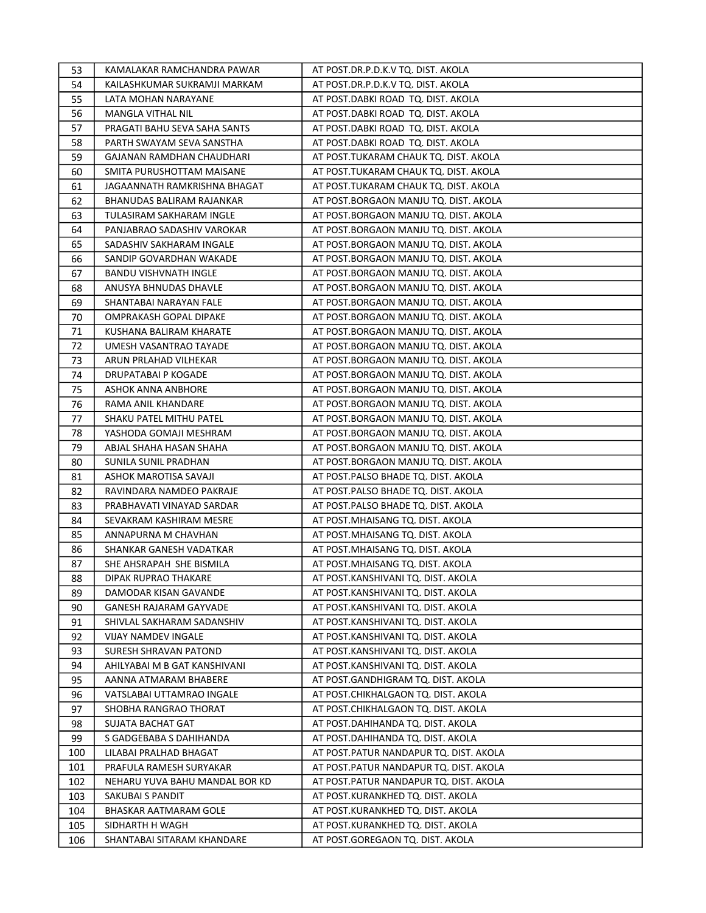| 53  | KAMALAKAR RAMCHANDRA PAWAR     | AT POST.DR.P.D.K.V TQ. DIST. AKOLA     |
|-----|--------------------------------|----------------------------------------|
| 54  | KAILASHKUMAR SUKRAMJI MARKAM   | AT POST.DR.P.D.K.V TQ. DIST. AKOLA     |
| 55  | LATA MOHAN NARAYANE            | AT POST.DABKI ROAD TQ. DIST. AKOLA     |
| 56  | <b>MANGLA VITHAL NIL</b>       | AT POST.DABKI ROAD TQ. DIST. AKOLA     |
| 57  | PRAGATI BAHU SEVA SAHA SANTS   | AT POST.DABKI ROAD TQ. DIST. AKOLA     |
| 58  | PARTH SWAYAM SEVA SANSTHA      | AT POST.DABKI ROAD TQ. DIST. AKOLA     |
| 59  | GAJANAN RAMDHAN CHAUDHARI      | AT POST.TUKARAM CHAUK TQ. DIST. AKOLA  |
| 60  | SMITA PURUSHOTTAM MAISANE      | AT POST.TUKARAM CHAUK TQ. DIST. AKOLA  |
| 61  | JAGAANNATH RAMKRISHNA BHAGAT   | AT POST.TUKARAM CHAUK TQ. DIST. AKOLA  |
| 62  | BHANUDAS BALIRAM RAJANKAR      | AT POST.BORGAON MANJU TQ. DIST. AKOLA  |
| 63  | TULASIRAM SAKHARAM INGLE       | AT POST.BORGAON MANJU TQ. DIST. AKOLA  |
| 64  | PANJABRAO SADASHIV VAROKAR     | AT POST.BORGAON MANJU TQ. DIST. AKOLA  |
| 65  | SADASHIV SAKHARAM INGALE       | AT POST.BORGAON MANJU TQ. DIST. AKOLA  |
| 66  | SANDIP GOVARDHAN WAKADE        | AT POST.BORGAON MANJU TQ. DIST. AKOLA  |
| 67  | <b>BANDU VISHVNATH INGLE</b>   | AT POST.BORGAON MANJU TQ. DIST. AKOLA  |
| 68  | ANUSYA BHNUDAS DHAVLE          | AT POST.BORGAON MANJU TQ. DIST. AKOLA  |
| 69  | SHANTABAI NARAYAN FALE         | AT POST.BORGAON MANJU TQ. DIST. AKOLA  |
| 70  | OMPRAKASH GOPAL DIPAKE         | AT POST.BORGAON MANJU TQ. DIST. AKOLA  |
| 71  | KUSHANA BALIRAM KHARATE        | AT POST.BORGAON MANJU TQ. DIST. AKOLA  |
| 72  | UMESH VASANTRAO TAYADE         | AT POST.BORGAON MANJU TQ. DIST. AKOLA  |
| 73  | ARUN PRLAHAD VILHEKAR          | AT POST.BORGAON MANJU TQ. DIST. AKOLA  |
| 74  | DRUPATABAI P KOGADE            | AT POST.BORGAON MANJU TQ. DIST. AKOLA  |
| 75  | ASHOK ANNA ANBHORE             | AT POST.BORGAON MANJU TQ. DIST. AKOLA  |
| 76  | RAMA ANIL KHANDARE             | AT POST.BORGAON MANJU TQ. DIST. AKOLA  |
| 77  | SHAKU PATEL MITHU PATEL        | AT POST.BORGAON MANJU TQ. DIST. AKOLA  |
| 78  | YASHODA GOMAJI MESHRAM         | AT POST.BORGAON MANJU TQ. DIST. AKOLA  |
| 79  | ABJAL SHAHA HASAN SHAHA        | AT POST.BORGAON MANJU TQ. DIST. AKOLA  |
| 80  | SUNILA SUNIL PRADHAN           | AT POST.BORGAON MANJU TQ. DIST. AKOLA  |
| 81  | ASHOK MAROTISA SAVAJI          | AT POST.PALSO BHADE TQ. DIST. AKOLA    |
| 82  | RAVINDARA NAMDEO PAKRAJE       | AT POST.PALSO BHADE TQ. DIST. AKOLA    |
| 83  | PRABHAVATI VINAYAD SARDAR      | AT POST.PALSO BHADE TQ. DIST. AKOLA    |
| 84  | SEVAKRAM KASHIRAM MESRE        | AT POST.MHAISANG TQ. DIST. AKOLA       |
| 85  | ANNAPURNA M CHAVHAN            | AT POST.MHAISANG TQ. DIST. AKOLA       |
| 86  | SHANKAR GANESH VADATKAR        | AT POST. MHAISANG TQ. DIST. AKOLA      |
| 87  | SHE AHSRAPAH SHE BISMILA       | AT POST.MHAISANG TQ. DIST. AKOLA       |
| 88  | DIPAK RUPRAO THAKARE           | AT POST.KANSHIVANI TQ. DIST. AKOLA     |
| 89  | DAMODAR KISAN GAVANDE          | AT POST.KANSHIVANI TQ. DIST. AKOLA     |
| 90  | GANESH RAJARAM GAYVADE         | AT POST.KANSHIVANI TQ. DIST. AKOLA     |
| 91  | SHIVLAL SAKHARAM SADANSHIV     | AT POST.KANSHIVANI TQ. DIST. AKOLA     |
| 92  | VIJAY NAMDEV INGALE            | AT POST.KANSHIVANI TQ. DIST. AKOLA     |
| 93  | SURESH SHRAVAN PATOND          | AT POST.KANSHIVANI TQ. DIST. AKOLA     |
| 94  | AHILYABAI M B GAT KANSHIVANI   | AT POST.KANSHIVANI TQ. DIST. AKOLA     |
| 95  | AANNA ATMARAM BHABERE          | AT POST.GANDHIGRAM TQ. DIST. AKOLA     |
| 96  | VATSLABAI UTTAMRAO INGALE      | AT POST.CHIKHALGAON TQ. DIST. AKOLA    |
| 97  | SHOBHA RANGRAO THORAT          | AT POST.CHIKHALGAON TQ. DIST. AKOLA    |
| 98  | <b>SUJATA BACHAT GAT</b>       | AT POST.DAHIHANDA TQ. DIST. AKOLA      |
| 99  | S GADGEBABA S DAHIHANDA        | AT POST.DAHIHANDA TQ. DIST. AKOLA      |
| 100 | LILABAI PRALHAD BHAGAT         | AT POST.PATUR NANDAPUR TQ. DIST. AKOLA |
| 101 | PRAFULA RAMESH SURYAKAR        | AT POST.PATUR NANDAPUR TQ. DIST. AKOLA |
| 102 | NEHARU YUVA BAHU MANDAL BOR KD | AT POST.PATUR NANDAPUR TQ. DIST. AKOLA |
| 103 | SAKUBAI S PANDIT               | AT POST.KURANKHED TQ. DIST. AKOLA      |
| 104 | BHASKAR AATMARAM GOLE          | AT POST.KURANKHED TQ. DIST. AKOLA      |
| 105 | SIDHARTH H WAGH                | AT POST.KURANKHED TQ. DIST. AKOLA      |
| 106 | SHANTABAI SITARAM KHANDARE     | AT POST.GOREGAON TQ. DIST. AKOLA       |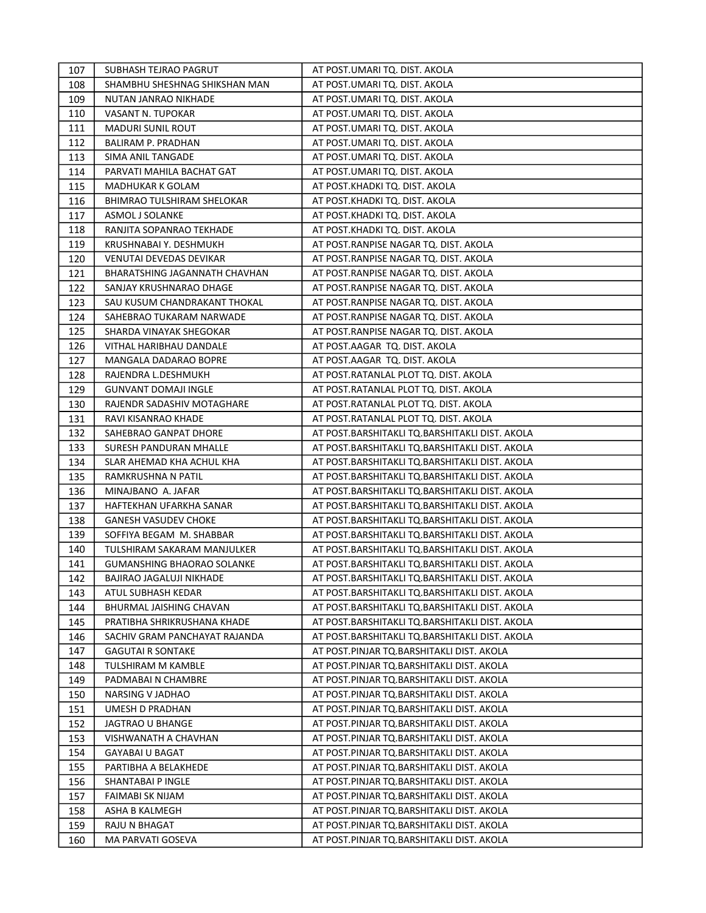| 107 | SUBHASH TEJRAO PAGRUT             | AT POST.UMARI TQ. DIST. AKOLA                  |
|-----|-----------------------------------|------------------------------------------------|
| 108 | SHAMBHU SHESHNAG SHIKSHAN MAN     | AT POST.UMARI TQ. DIST. AKOLA                  |
| 109 | NUTAN JANRAO NIKHADE              | AT POST.UMARI TQ. DIST. AKOLA                  |
| 110 | VASANT N. TUPOKAR                 | AT POST.UMARI TQ. DIST. AKOLA                  |
| 111 | <b>MADURI SUNIL ROUT</b>          | AT POST.UMARI TQ. DIST. AKOLA                  |
| 112 | BALIRAM P. PRADHAN                | AT POST.UMARI TQ. DIST. AKOLA                  |
| 113 | SIMA ANIL TANGADE                 | AT POST.UMARI TQ. DIST. AKOLA                  |
| 114 | PARVATI MAHILA BACHAT GAT         | AT POST.UMARI TQ. DIST. AKOLA                  |
| 115 | MADHUKAR K GOLAM                  | AT POST.KHADKI TQ. DIST. AKOLA                 |
| 116 | <b>BHIMRAO TULSHIRAM SHELOKAR</b> | AT POST.KHADKI TQ. DIST. AKOLA                 |
| 117 | <b>ASMOL J SOLANKE</b>            | AT POST.KHADKI TQ. DIST. AKOLA                 |
| 118 | RANJITA SOPANRAO TEKHADE          | AT POST.KHADKI TQ. DIST. AKOLA                 |
| 119 | KRUSHNABAI Y. DESHMUKH            | AT POST.RANPISE NAGAR TQ. DIST. AKOLA          |
| 120 | VENUTAI DEVEDAS DEVIKAR           | AT POST.RANPISE NAGAR TQ. DIST. AKOLA          |
| 121 | BHARATSHING JAGANNATH CHAVHAN     | AT POST.RANPISE NAGAR TQ. DIST. AKOLA          |
| 122 | SANJAY KRUSHNARAO DHAGE           | AT POST.RANPISE NAGAR TQ. DIST. AKOLA          |
| 123 | SAU KUSUM CHANDRAKANT THOKAL      | AT POST.RANPISE NAGAR TQ. DIST. AKOLA          |
| 124 | SAHEBRAO TUKARAM NARWADE          | AT POST.RANPISE NAGAR TQ. DIST. AKOLA          |
| 125 | SHARDA VINAYAK SHEGOKAR           | AT POST.RANPISE NAGAR TQ. DIST. AKOLA          |
| 126 | VITHAL HARIBHAU DANDALE           | AT POST.AAGAR TQ. DIST. AKOLA                  |
| 127 | MANGALA DADARAO BOPRE             | AT POST.AAGAR TQ. DIST. AKOLA                  |
| 128 | RAJENDRA L.DESHMUKH               | AT POST.RATANLAL PLOT TQ. DIST. AKOLA          |
| 129 | <b>GUNVANT DOMAJI INGLE</b>       | AT POST.RATANLAL PLOT TQ. DIST. AKOLA          |
| 130 | RAJENDR SADASHIV MOTAGHARE        | AT POST.RATANLAL PLOT TQ. DIST. AKOLA          |
| 131 | RAVI KISANRAO KHADE               | AT POST.RATANLAL PLOT TQ. DIST. AKOLA          |
| 132 | SAHEBRAO GANPAT DHORE             | AT POST.BARSHITAKLI TQ.BARSHITAKLI DIST. AKOLA |
| 133 | SURESH PANDURAN MHALLE            | AT POST.BARSHITAKLI TQ.BARSHITAKLI DIST. AKOLA |
| 134 | SLAR AHEMAD KHA ACHUL KHA         | AT POST.BARSHITAKLI TQ.BARSHITAKLI DIST. AKOLA |
| 135 | RAMKRUSHNA N PATIL                | AT POST.BARSHITAKLI TQ.BARSHITAKLI DIST. AKOLA |
| 136 | MINAJBANO A. JAFAR                | AT POST.BARSHITAKLI TQ.BARSHITAKLI DIST. AKOLA |
| 137 | HAFTEKHAN UFARKHA SANAR           | AT POST.BARSHITAKLI TQ.BARSHITAKLI DIST. AKOLA |
| 138 | <b>GANESH VASUDEV CHOKE</b>       | AT POST.BARSHITAKLI TQ.BARSHITAKLI DIST. AKOLA |
| 139 | SOFFIYA BEGAM M. SHABBAR          | AT POST.BARSHITAKLI TQ.BARSHITAKLI DIST. AKOLA |
| 140 | TULSHIRAM SAKARAM MANJULKER       | AT POST.BARSHITAKLI TQ.BARSHITAKLI DIST. AKOLA |
| 141 | <b>GUMANSHING BHAORAO SOLANKE</b> | AT POST.BARSHITAKLI TQ.BARSHITAKLI DIST. AKOLA |
| 142 | BAJIRAO JAGALUJI NIKHADE          | AT POST.BARSHITAKLI TQ.BARSHITAKLI DIST. AKOLA |
| 143 | ATUL SUBHASH KEDAR                | AT POST.BARSHITAKLI TQ.BARSHITAKLI DIST. AKOLA |
| 144 | BHURMAL JAISHING CHAVAN           | AT POST.BARSHITAKLI TQ.BARSHITAKLI DIST. AKOLA |
| 145 | PRATIBHA SHRIKRUSHANA KHADE       | AT POST.BARSHITAKLI TQ.BARSHITAKLI DIST. AKOLA |
| 146 | SACHIV GRAM PANCHAYAT RAJANDA     | AT POST.BARSHITAKLI TQ.BARSHITAKLI DIST. AKOLA |
| 147 | <b>GAGUTAI R SONTAKE</b>          | AT POST.PINJAR TQ.BARSHITAKLI DIST. AKOLA      |
| 148 | TULSHIRAM M KAMBLE                | AT POST.PINJAR TQ.BARSHITAKLI DIST. AKOLA      |
| 149 | PADMABAI N CHAMBRE                | AT POST.PINJAR TQ.BARSHITAKLI DIST. AKOLA      |
| 150 | NARSING V JADHAO                  | AT POST.PINJAR TQ.BARSHITAKLI DIST. AKOLA      |
| 151 | UMESH D PRADHAN                   | AT POST.PINJAR TQ.BARSHITAKLI DIST. AKOLA      |
| 152 | JAGTRAO U BHANGE                  | AT POST.PINJAR TQ.BARSHITAKLI DIST. AKOLA      |
| 153 | VISHWANATH A CHAVHAN              | AT POST.PINJAR TQ.BARSHITAKLI DIST. AKOLA      |
| 154 | GAYABAI U BAGAT                   | AT POST.PINJAR TQ.BARSHITAKLI DIST. AKOLA      |
| 155 | PARTIBHA A BELAKHEDE              | AT POST.PINJAR TQ.BARSHITAKLI DIST. AKOLA      |
| 156 | SHANTABAI P INGLE                 | AT POST.PINJAR TQ.BARSHITAKLI DIST. AKOLA      |
| 157 | FAIMABI SK NIJAM                  | AT POST.PINJAR TQ.BARSHITAKLI DIST. AKOLA      |
| 158 | ASHA B KALMEGH                    | AT POST.PINJAR TQ.BARSHITAKLI DIST. AKOLA      |
| 159 | RAJU N BHAGAT                     | AT POST.PINJAR TQ.BARSHITAKLI DIST. AKOLA      |
| 160 | MA PARVATI GOSEVA                 | AT POST.PINJAR TQ.BARSHITAKLI DIST. AKOLA      |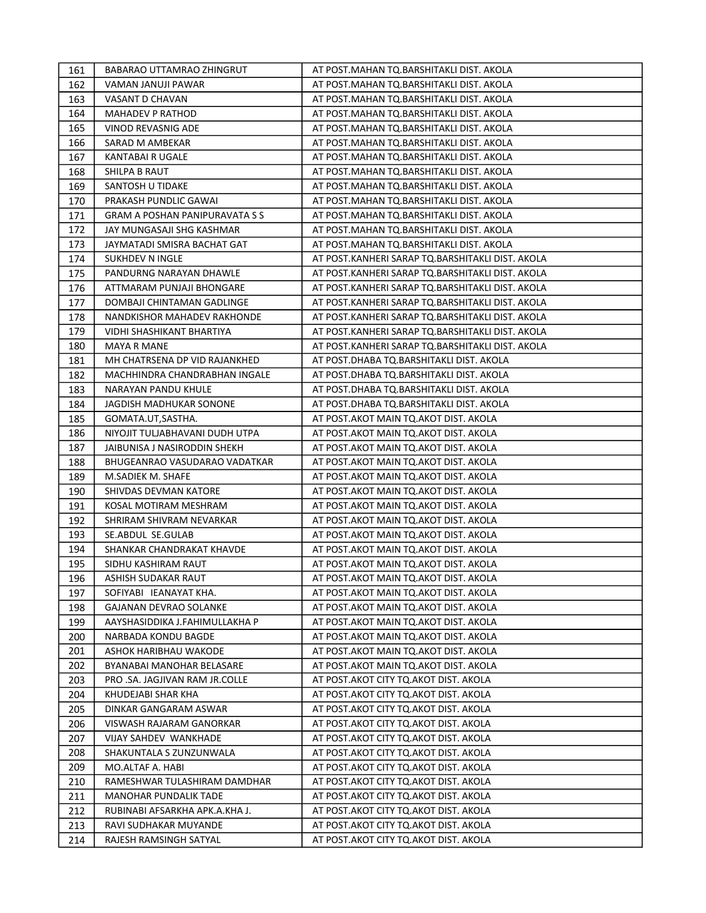| 161 | BABARAO UTTAMRAO ZHINGRUT      | AT POST.MAHAN TQ.BARSHITAKLI DIST. AKOLA         |
|-----|--------------------------------|--------------------------------------------------|
| 162 | VAMAN JANUJI PAWAR             | AT POST. MAHAN TQ. BARSHITAKLI DIST. AKOLA       |
| 163 | VASANT D CHAVAN                | AT POST.MAHAN TQ.BARSHITAKLI DIST. AKOLA         |
| 164 | MAHADEV P RATHOD               | AT POST.MAHAN TQ.BARSHITAKLI DIST. AKOLA         |
| 165 | VINOD REVASNIG ADE             | AT POST.MAHAN TQ.BARSHITAKLI DIST. AKOLA         |
| 166 | SARAD M AMBEKAR                | AT POST.MAHAN TQ.BARSHITAKLI DIST. AKOLA         |
| 167 | KANTABAI R UGALE               | AT POST.MAHAN TQ.BARSHITAKLI DIST. AKOLA         |
| 168 | SHILPA B RAUT                  | AT POST.MAHAN TQ.BARSHITAKLI DIST. AKOLA         |
| 169 | SANTOSH U TIDAKE               | AT POST.MAHAN TQ.BARSHITAKLI DIST. AKOLA         |
| 170 | PRAKASH PUNDLIC GAWAI          | AT POST. MAHAN TQ. BARSHITAKLI DIST. AKOLA       |
| 171 | GRAM A POSHAN PANIPURAVATA S S | AT POST.MAHAN TQ.BARSHITAKLI DIST. AKOLA         |
| 172 | JAY MUNGASAJI SHG KASHMAR      | AT POST.MAHAN TQ.BARSHITAKLI DIST. AKOLA         |
| 173 | JAYMATADI SMISRA BACHAT GAT    | AT POST.MAHAN TQ.BARSHITAKLI DIST. AKOLA         |
| 174 | SUKHDEV N INGLE                | AT POST.KANHERI SARAP TQ.BARSHITAKLI DIST. AKOLA |
| 175 | PANDURNG NARAYAN DHAWLE        | AT POST.KANHERI SARAP TQ.BARSHITAKLI DIST. AKOLA |
| 176 | ATTMARAM PUNJAJI BHONGARE      | AT POST.KANHERI SARAP TQ.BARSHITAKLI DIST. AKOLA |
| 177 | DOMBAJI CHINTAMAN GADLINGE     | AT POST.KANHERI SARAP TQ.BARSHITAKLI DIST. AKOLA |
| 178 | NANDKISHOR MAHADEV RAKHONDE    | AT POST.KANHERI SARAP TQ.BARSHITAKLI DIST. AKOLA |
| 179 | VIDHI SHASHIKANT BHARTIYA      | AT POST.KANHERI SARAP TQ.BARSHITAKLI DIST. AKOLA |
| 180 | <b>MAYA R MANE</b>             | AT POST.KANHERI SARAP TQ.BARSHITAKLI DIST. AKOLA |
| 181 | MH CHATRSENA DP VID RAJANKHED  | AT POST.DHABA TQ.BARSHITAKLI DIST. AKOLA         |
| 182 | MACHHINDRA CHANDRABHAN INGALE  | AT POST.DHABA TQ.BARSHITAKLI DIST. AKOLA         |
| 183 | NARAYAN PANDU KHULE            | AT POST.DHABA TQ.BARSHITAKLI DIST. AKOLA         |
| 184 | JAGDISH MADHUKAR SONONE        | AT POST.DHABA TQ.BARSHITAKLI DIST. AKOLA         |
| 185 | GOMATA.UT, SASTHA.             | AT POST.AKOT MAIN TQ.AKOT DIST. AKOLA            |
| 186 | NIYOJIT TULJABHAVANI DUDH UTPA | AT POST. AKOT MAIN TQ. AKOT DIST. AKOLA          |
| 187 | JAIBUNISA J NASIRODDIN SHEKH   | AT POST.AKOT MAIN TQ.AKOT DIST. AKOLA            |
| 188 | BHUGEANRAO VASUDARAO VADATKAR  | AT POST. AKOT MAIN TO. AKOT DIST. AKOLA          |
| 189 | M.SADIEK M. SHAFE              | AT POST.AKOT MAIN TQ.AKOT DIST. AKOLA            |
| 190 | SHIVDAS DEVMAN KATORE          | AT POST.AKOT MAIN TQ.AKOT DIST. AKOLA            |
| 191 | KOSAL MOTIRAM MESHRAM          | AT POST.AKOT MAIN TQ.AKOT DIST. AKOLA            |
| 192 | SHRIRAM SHIVRAM NEVARKAR       | AT POST.AKOT MAIN TQ.AKOT DIST. AKOLA            |
| 193 | SE.ABDUL SE.GULAB              | AT POST.AKOT MAIN TQ.AKOT DIST. AKOLA            |
| 194 | SHANKAR CHANDRAKAT KHAVDE      | AT POST.AKOT MAIN TQ.AKOT DIST. AKOLA            |
| 195 | SIDHU KASHIRAM RAUT            | AT POST.AKOT MAIN TQ.AKOT DIST. AKOLA            |
| 196 | ASHISH SUDAKAR RAUT            | AT POST.AKOT MAIN TQ.AKOT DIST. AKOLA            |
| 197 | SOFIYABI IEANAYAT KHA.         | AT POST.AKOT MAIN TQ.AKOT DIST. AKOLA            |
| 198 | GAJANAN DEVRAO SOLANKE         | AT POST.AKOT MAIN TQ.AKOT DIST. AKOLA            |
| 199 | AAYSHASIDDIKA J.FAHIMULLAKHA P | AT POST.AKOT MAIN TQ.AKOT DIST. AKOLA            |
| 200 | NARBADA KONDU BAGDE            | AT POST.AKOT MAIN TQ.AKOT DIST. AKOLA            |
| 201 | ASHOK HARIBHAU WAKODE          | AT POST.AKOT MAIN TQ.AKOT DIST. AKOLA            |
| 202 | BYANABAI MANOHAR BELASARE      | AT POST.AKOT MAIN TQ.AKOT DIST. AKOLA            |
| 203 | PRO .SA. JAGJIVAN RAM JR.COLLE | AT POST.AKOT CITY TQ.AKOT DIST. AKOLA            |
| 204 | KHUDEJABI SHAR KHA             | AT POST.AKOT CITY TQ.AKOT DIST. AKOLA            |
| 205 | DINKAR GANGARAM ASWAR          | AT POST.AKOT CITY TO.AKOT DIST. AKOLA            |
| 206 | VISWASH RAJARAM GANORKAR       | AT POST.AKOT CITY TO.AKOT DIST. AKOLA            |
| 207 | <b>VIJAY SAHDEV WANKHADE</b>   | AT POST. AKOT CITY TO. AKOT DIST. AKOLA          |
| 208 | SHAKUNTALA S ZUNZUNWALA        | AT POST.AKOT CITY TQ.AKOT DIST. AKOLA            |
| 209 | MO.ALTAF A. HABI               | AT POST. AKOT CITY TO. AKOT DIST. AKOLA          |
| 210 | RAMESHWAR TULASHIRAM DAMDHAR   | AT POST.AKOT CITY TQ.AKOT DIST. AKOLA            |
| 211 | <b>MANOHAR PUNDALIK TADE</b>   | AT POST.AKOT CITY TQ.AKOT DIST. AKOLA            |
| 212 | RUBINABI AFSARKHA APK.A.KHA J. | AT POST. AKOT CITY TO. AKOT DIST. AKOLA          |
| 213 | RAVI SUDHAKAR MUYANDE          | AT POST.AKOT CITY TQ.AKOT DIST. AKOLA            |
| 214 | RAJESH RAMSINGH SATYAL         | AT POST.AKOT CITY TQ.AKOT DIST. AKOLA            |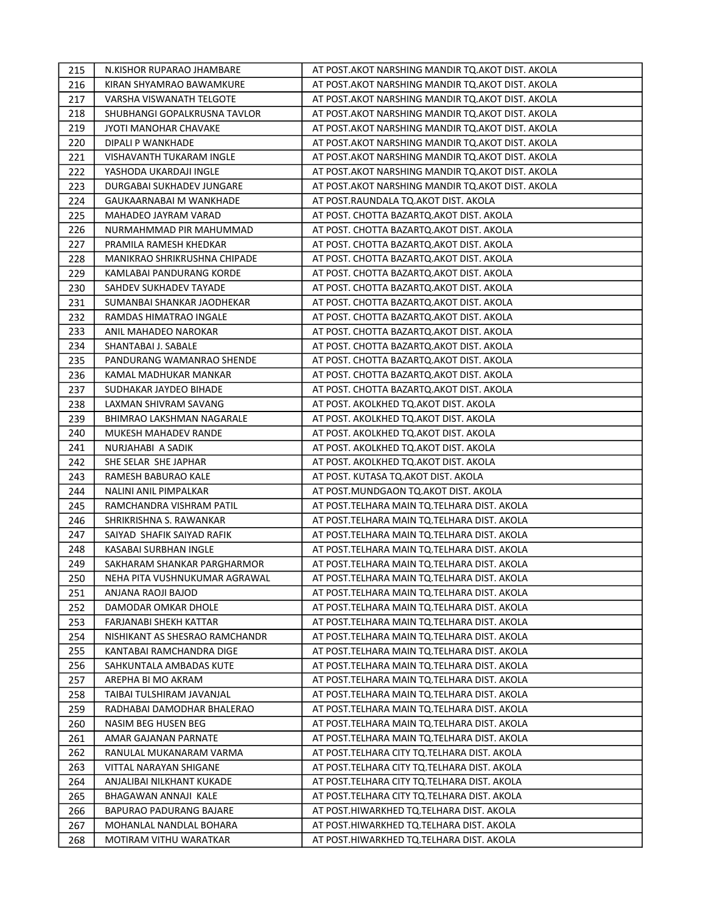| 215 | N.KISHOR RUPARAO JHAMBARE      | AT POST.AKOT NARSHING MANDIR TQ.AKOT DIST. AKOLA   |
|-----|--------------------------------|----------------------------------------------------|
| 216 | KIRAN SHYAMRAO BAWAMKURE       | AT POST.AKOT NARSHING MANDIR TQ.AKOT DIST. AKOLA   |
| 217 | VARSHA VISWANATH TELGOTE       | AT POST.AKOT NARSHING MANDIR TQ.AKOT DIST. AKOLA   |
| 218 | SHUBHANGI GOPALKRUSNA TAVLOR   | AT POST.AKOT NARSHING MANDIR TQ.AKOT DIST. AKOLA   |
| 219 | JYOTI MANOHAR CHAVAKE          | AT POST.AKOT NARSHING MANDIR TQ.AKOT DIST. AKOLA   |
| 220 | DIPALI P WANKHADE              | AT POST.AKOT NARSHING MANDIR TQ.AKOT DIST. AKOLA   |
| 221 | VISHAVANTH TUKARAM INGLE       | AT POST. AKOT NARSHING MANDIR TO. AKOT DIST. AKOLA |
| 222 | YASHODA UKARDAJI INGLE         | AT POST.AKOT NARSHING MANDIR TQ.AKOT DIST. AKOLA   |
| 223 | DURGABAI SUKHADEV JUNGARE      | AT POST.AKOT NARSHING MANDIR TQ.AKOT DIST. AKOLA   |
| 224 | GAUKAARNABAI M WANKHADE        | AT POST.RAUNDALA TQ.AKOT DIST. AKOLA               |
| 225 | MAHADEO JAYRAM VARAD           | AT POST. CHOTTA BAZARTQ.AKOT DIST. AKOLA           |
| 226 | NURMAHMMAD PIR MAHUMMAD        | AT POST. CHOTTA BAZARTQ.AKOT DIST. AKOLA           |
| 227 | PRAMILA RAMESH KHEDKAR         | AT POST. CHOTTA BAZARTQ.AKOT DIST. AKOLA           |
| 228 | MANIKRAO SHRIKRUSHNA CHIPADE   | AT POST. CHOTTA BAZARTQ.AKOT DIST. AKOLA           |
| 229 | KAMLABAI PANDURANG KORDE       | AT POST. CHOTTA BAZARTQ.AKOT DIST. AKOLA           |
| 230 | SAHDEV SUKHADEV TAYADE         | AT POST. CHOTTA BAZARTQ.AKOT DIST. AKOLA           |
| 231 | SUMANBAI SHANKAR JAODHEKAR     | AT POST. CHOTTA BAZARTQ.AKOT DIST. AKOLA           |
| 232 | RAMDAS HIMATRAO INGALE         | AT POST. CHOTTA BAZARTQ.AKOT DIST. AKOLA           |
| 233 | ANIL MAHADEO NAROKAR           | AT POST. CHOTTA BAZARTQ.AKOT DIST. AKOLA           |
| 234 | SHANTABAI J. SABALE            | AT POST. CHOTTA BAZARTQ.AKOT DIST. AKOLA           |
| 235 | PANDURANG WAMANRAO SHENDE      | AT POST. CHOTTA BAZARTQ.AKOT DIST. AKOLA           |
| 236 | KAMAL MADHUKAR MANKAR          | AT POST. CHOTTA BAZARTQ.AKOT DIST. AKOLA           |
| 237 | SUDHAKAR JAYDEO BIHADE         | AT POST. CHOTTA BAZARTQ.AKOT DIST. AKOLA           |
| 238 | LAXMAN SHIVRAM SAVANG          | AT POST. AKOLKHED TQ.AKOT DIST. AKOLA              |
| 239 | BHIMRAO LAKSHMAN NAGARALE      | AT POST. AKOLKHED TQ.AKOT DIST. AKOLA              |
| 240 | MUKESH MAHADEV RANDE           | AT POST. AKOLKHED TQ.AKOT DIST. AKOLA              |
| 241 | NURJAHABI A SADIK              | AT POST. AKOLKHED TQ.AKOT DIST. AKOLA              |
| 242 | SHE SELAR SHE JAPHAR           | AT POST. AKOLKHED TQ.AKOT DIST. AKOLA              |
| 243 | RAMESH BABURAO KALE            | AT POST. KUTASA TQ.AKOT DIST. AKOLA                |
| 244 | NALINI ANIL PIMPALKAR          | AT POST.MUNDGAON TQ.AKOT DIST. AKOLA               |
| 245 | RAMCHANDRA VISHRAM PATIL       | AT POST.TELHARA MAIN TQ.TELHARA DIST. AKOLA        |
| 246 | SHRIKRISHNA S. RAWANKAR        | AT POST.TELHARA MAIN TQ.TELHARA DIST. AKOLA        |
| 247 | SAIYAD SHAFIK SAIYAD RAFIK     | AT POST.TELHARA MAIN TQ.TELHARA DIST. AKOLA        |
| 248 | KASABAI SURBHAN INGLE          | AT POST. TELHARA MAIN TQ. TELHARA DIST. AKOLA      |
| 249 | SAKHARAM SHANKAR PARGHARMOR    | AT POST.TELHARA MAIN TQ.TELHARA DIST. AKOLA        |
| 250 | NEHA PITA VUSHNUKUMAR AGRAWAL  | AT POST.TELHARA MAIN TQ.TELHARA DIST. AKOLA        |
| 251 | ANJANA RAOJI BAJOD             | AT POST. TELHARA MAIN TO. TELHARA DIST. AKOLA      |
| 252 | DAMODAR OMKAR DHOLE            | AT POST.TELHARA MAIN TQ.TELHARA DIST. AKOLA        |
| 253 | FARJANABI SHEKH KATTAR         | AT POST.TELHARA MAIN TQ.TELHARA DIST. AKOLA        |
| 254 | NISHIKANT AS SHESRAO RAMCHANDR | AT POST.TELHARA MAIN TQ.TELHARA DIST. AKOLA        |
| 255 | KANTABAI RAMCHANDRA DIGE       | AT POST.TELHARA MAIN TQ.TELHARA DIST. AKOLA        |
| 256 | SAHKUNTALA AMBADAS KUTE        | AT POST.TELHARA MAIN TQ.TELHARA DIST. AKOLA        |
| 257 | AREPHA BI MO AKRAM             | AT POST.TELHARA MAIN TQ.TELHARA DIST. AKOLA        |
| 258 | TAIBAI TULSHIRAM JAVANJAL      | AT POST.TELHARA MAIN TQ.TELHARA DIST. AKOLA        |
| 259 | RADHABAI DAMODHAR BHALERAO     | AT POST.TELHARA MAIN TQ.TELHARA DIST. AKOLA        |
| 260 | NASIM BEG HUSEN BEG            | AT POST.TELHARA MAIN TQ.TELHARA DIST. AKOLA        |
| 261 | AMAR GAJANAN PARNATE           | AT POST.TELHARA MAIN TQ.TELHARA DIST. AKOLA        |
| 262 | RANULAL MUKANARAM VARMA        | AT POST.TELHARA CITY TQ.TELHARA DIST. AKOLA        |
| 263 | VITTAL NARAYAN SHIGANE         | AT POST.TELHARA CITY TQ.TELHARA DIST. AKOLA        |
| 264 | ANJALIBAI NILKHANT KUKADE      | AT POST.TELHARA CITY TQ.TELHARA DIST. AKOLA        |
| 265 | BHAGAWAN ANNAJI KALE           | AT POST.TELHARA CITY TQ.TELHARA DIST. AKOLA        |
| 266 | <b>BAPURAO PADURANG BAJARE</b> | AT POST.HIWARKHED TQ.TELHARA DIST. AKOLA           |
| 267 | MOHANLAL NANDLAL BOHARA        | AT POST.HIWARKHED TQ.TELHARA DIST. AKOLA           |
| 268 | MOTIRAM VITHU WARATKAR         | AT POST.HIWARKHED TQ.TELHARA DIST. AKOLA           |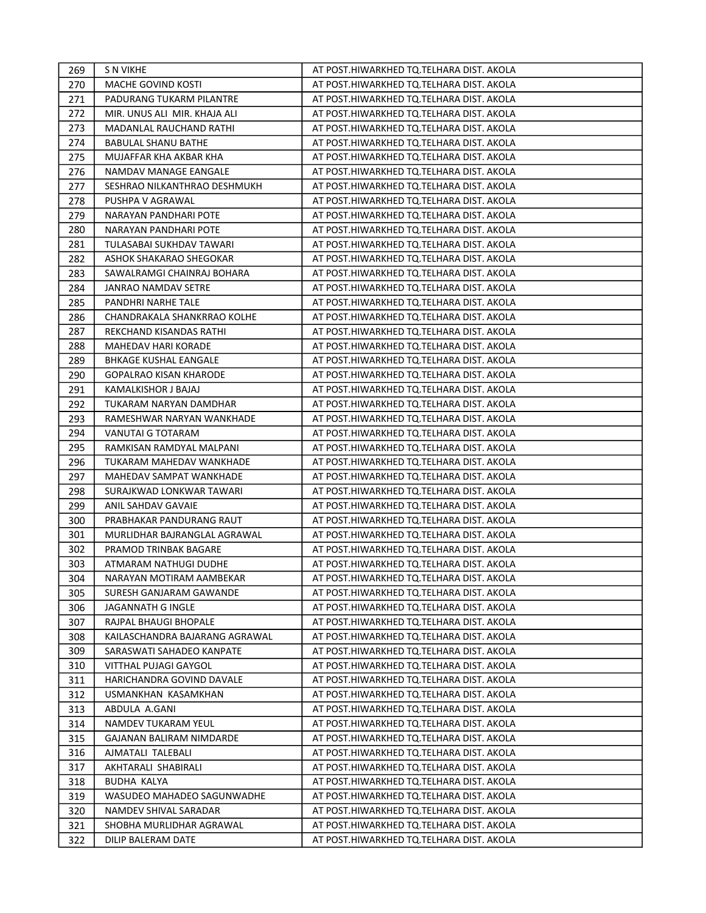| 269 | S N VIKHE                      | AT POST.HIWARKHED TQ.TELHARA DIST. AKOLA |
|-----|--------------------------------|------------------------------------------|
| 270 | MACHE GOVIND KOSTI             | AT POST.HIWARKHED TQ.TELHARA DIST. AKOLA |
| 271 | PADURANG TUKARM PILANTRE       | AT POST.HIWARKHED TQ.TELHARA DIST. AKOLA |
| 272 | MIR. UNUS ALI MIR. KHAJA ALI   | AT POST.HIWARKHED TQ.TELHARA DIST. AKOLA |
| 273 | MADANLAL RAUCHAND RATHI        | AT POST.HIWARKHED TQ.TELHARA DIST. AKOLA |
| 274 | <b>BABULAL SHANU BATHE</b>     | AT POST.HIWARKHED TQ.TELHARA DIST. AKOLA |
| 275 | MUJAFFAR KHA AKBAR KHA         | AT POST.HIWARKHED TQ.TELHARA DIST. AKOLA |
| 276 | NAMDAV MANAGE EANGALE          | AT POST.HIWARKHED TQ.TELHARA DIST. AKOLA |
| 277 | SESHRAO NILKANTHRAO DESHMUKH   | AT POST.HIWARKHED TQ.TELHARA DIST. AKOLA |
| 278 | PUSHPA V AGRAWAL               | AT POST.HIWARKHED TQ.TELHARA DIST. AKOLA |
| 279 | NARAYAN PANDHARI POTE          | AT POST.HIWARKHED TQ.TELHARA DIST. AKOLA |
| 280 | NARAYAN PANDHARI POTE          | AT POST.HIWARKHED TQ.TELHARA DIST. AKOLA |
| 281 | TULASABAI SUKHDAV TAWARI       | AT POST.HIWARKHED TQ.TELHARA DIST. AKOLA |
| 282 | ASHOK SHAKARAO SHEGOKAR        | AT POST.HIWARKHED TQ.TELHARA DIST. AKOLA |
| 283 | SAWALRAMGI CHAINRAJ BOHARA     | AT POST.HIWARKHED TQ.TELHARA DIST. AKOLA |
| 284 | JANRAO NAMDAV SETRE            | AT POST.HIWARKHED TQ.TELHARA DIST. AKOLA |
| 285 | PANDHRI NARHE TALE             | AT POST.HIWARKHED TQ.TELHARA DIST. AKOLA |
| 286 | CHANDRAKALA SHANKRRAO KOLHE    | AT POST.HIWARKHED TQ.TELHARA DIST. AKOLA |
| 287 | REKCHAND KISANDAS RATHI        | AT POST.HIWARKHED TQ.TELHARA DIST. AKOLA |
| 288 | MAHEDAV HARI KORADE            | AT POST.HIWARKHED TQ.TELHARA DIST. AKOLA |
| 289 | <b>BHKAGE KUSHAL EANGALE</b>   | AT POST.HIWARKHED TQ.TELHARA DIST. AKOLA |
| 290 | GOPALRAO KISAN KHARODE         | AT POST.HIWARKHED TQ.TELHARA DIST. AKOLA |
| 291 | KAMALKISHOR J BAJAJ            | AT POST.HIWARKHED TQ.TELHARA DIST. AKOLA |
| 292 | TUKARAM NARYAN DAMDHAR         | AT POST.HIWARKHED TQ.TELHARA DIST. AKOLA |
| 293 | RAMESHWAR NARYAN WANKHADE      | AT POST.HIWARKHED TQ.TELHARA DIST. AKOLA |
| 294 | VANUTAI G TOTARAM              | AT POST.HIWARKHED TQ.TELHARA DIST. AKOLA |
| 295 | RAMKISAN RAMDYAL MALPANI       | AT POST.HIWARKHED TQ.TELHARA DIST. AKOLA |
| 296 | TUKARAM MAHEDAV WANKHADE       | AT POST.HIWARKHED TQ.TELHARA DIST. AKOLA |
| 297 | MAHEDAV SAMPAT WANKHADE        | AT POST.HIWARKHED TQ.TELHARA DIST. AKOLA |
| 298 | SURAJKWAD LONKWAR TAWARI       | AT POST.HIWARKHED TQ.TELHARA DIST. AKOLA |
| 299 | ANIL SAHDAV GAVAIE             | AT POST.HIWARKHED TQ.TELHARA DIST. AKOLA |
| 300 | PRABHAKAR PANDURANG RAUT       | AT POST.HIWARKHED TQ.TELHARA DIST. AKOLA |
| 301 | MURLIDHAR BAJRANGLAL AGRAWAL   | AT POST.HIWARKHED TQ.TELHARA DIST. AKOLA |
| 302 | PRAMOD TRINBAK BAGARE          | AT POST.HIWARKHED TQ.TELHARA DIST. AKOLA |
| 303 | ATMARAM NATHUGI DUDHE          | AT POST.HIWARKHED TQ.TELHARA DIST. AKOLA |
| 304 | NARAYAN MOTIRAM AAMBEKAR       | AT POST.HIWARKHED TQ.TELHARA DIST. AKOLA |
| 305 | SURESH GANJARAM GAWANDE        | AT POST.HIWARKHED TQ.TELHARA DIST. AKOLA |
| 306 | JAGANNATH G INGLE              | AT POST.HIWARKHED TQ.TELHARA DIST. AKOLA |
| 307 | RAJPAL BHAUGI BHOPALE          | AT POST.HIWARKHED TQ.TELHARA DIST. AKOLA |
| 308 | KAILASCHANDRA BAJARANG AGRAWAL | AT POST.HIWARKHED TQ.TELHARA DIST. AKOLA |
| 309 | SARASWATI SAHADEO KANPATE      | AT POST.HIWARKHED TQ.TELHARA DIST. AKOLA |
| 310 | VITTHAL PUJAGI GAYGOL          | AT POST.HIWARKHED TQ.TELHARA DIST. AKOLA |
| 311 | HARICHANDRA GOVIND DAVALE      | AT POST.HIWARKHED TQ.TELHARA DIST. AKOLA |
| 312 | USMANKHAN KASAMKHAN            | AT POST.HIWARKHED TQ.TELHARA DIST. AKOLA |
| 313 | ABDULA A.GANI                  | AT POST.HIWARKHED TQ.TELHARA DIST. AKOLA |
| 314 | NAMDEV TUKARAM YEUL            | AT POST.HIWARKHED TQ.TELHARA DIST. AKOLA |
| 315 | GAJANAN BALIRAM NIMDARDE       | AT POST.HIWARKHED TQ.TELHARA DIST. AKOLA |
| 316 | AJMATALI TALEBALI              | AT POST.HIWARKHED TQ.TELHARA DIST. AKOLA |
| 317 | AKHTARALI SHABIRALI            | AT POST.HIWARKHED TQ.TELHARA DIST. AKOLA |
| 318 | <b>BUDHA KALYA</b>             | AT POST.HIWARKHED TQ.TELHARA DIST. AKOLA |
| 319 | WASUDEO MAHADEO SAGUNWADHE     | AT POST.HIWARKHED TQ.TELHARA DIST. AKOLA |
| 320 | NAMDEV SHIVAL SARADAR          | AT POST.HIWARKHED TQ.TELHARA DIST. AKOLA |
| 321 | SHOBHA MURLIDHAR AGRAWAL       | AT POST.HIWARKHED TQ.TELHARA DIST. AKOLA |
| 322 | DILIP BALERAM DATE             | AT POST.HIWARKHED TQ.TELHARA DIST. AKOLA |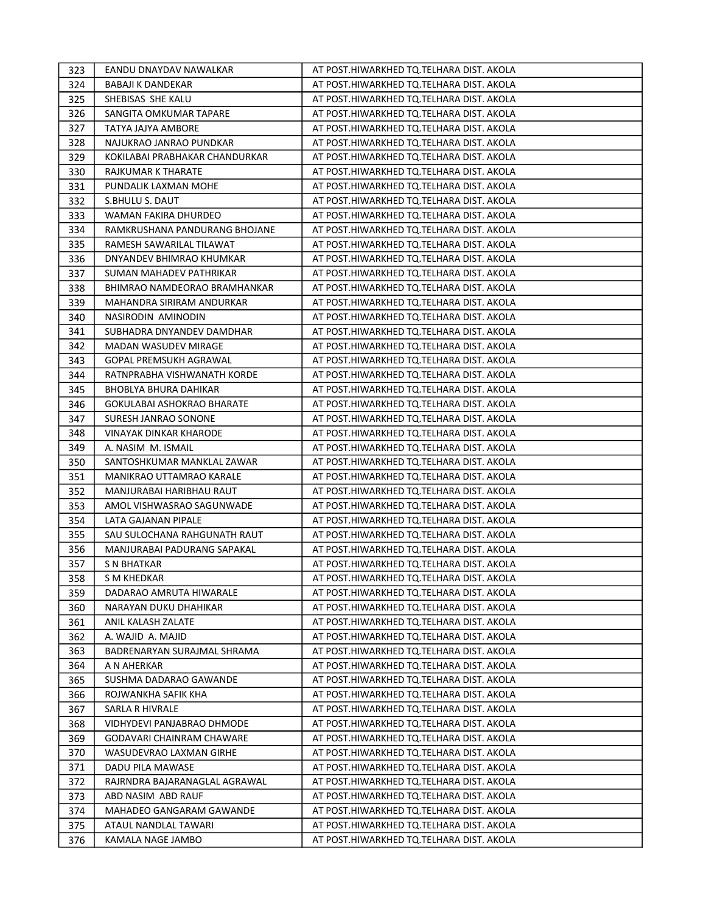| 323        | EANDU DNAYDAV NAWALKAR                              | AT POST.HIWARKHED TQ.TELHARA DIST. AKOLA                                             |
|------------|-----------------------------------------------------|--------------------------------------------------------------------------------------|
| 324        | BABAJI K DANDEKAR                                   | AT POST.HIWARKHED TQ.TELHARA DIST. AKOLA                                             |
| 325        | SHEBISAS SHE KALU                                   | AT POST.HIWARKHED TQ.TELHARA DIST. AKOLA                                             |
| 326        | SANGITA OMKUMAR TAPARE                              | AT POST.HIWARKHED TQ.TELHARA DIST. AKOLA                                             |
| 327        | TATYA JAJYA AMBORE                                  | AT POST.HIWARKHED TQ.TELHARA DIST. AKOLA                                             |
| 328        | NAJUKRAO JANRAO PUNDKAR                             | AT POST.HIWARKHED TQ.TELHARA DIST. AKOLA                                             |
| 329        | KOKILABAI PRABHAKAR CHANDURKAR                      | AT POST.HIWARKHED TQ.TELHARA DIST. AKOLA                                             |
| 330        | RAJKUMAR K THARATE                                  | AT POST.HIWARKHED TQ.TELHARA DIST. AKOLA                                             |
| 331        | PUNDALIK LAXMAN MOHE                                | AT POST.HIWARKHED TQ.TELHARA DIST. AKOLA                                             |
| 332        | S.BHULU S. DAUT                                     | AT POST.HIWARKHED TQ.TELHARA DIST. AKOLA                                             |
| 333        | WAMAN FAKIRA DHURDEO                                | AT POST.HIWARKHED TQ.TELHARA DIST. AKOLA                                             |
| 334        | RAMKRUSHANA PANDURANG BHOJANE                       | AT POST.HIWARKHED TQ.TELHARA DIST. AKOLA                                             |
| 335        | RAMESH SAWARILAL TILAWAT                            | AT POST.HIWARKHED TQ.TELHARA DIST. AKOLA                                             |
| 336        | DNYANDEV BHIMRAO KHUMKAR                            | AT POST.HIWARKHED TQ.TELHARA DIST. AKOLA                                             |
| 337        | SUMAN MAHADEV PATHRIKAR                             | AT POST.HIWARKHED TQ.TELHARA DIST. AKOLA                                             |
| 338        | BHIMRAO NAMDEORAO BRAMHANKAR                        | AT POST.HIWARKHED TQ.TELHARA DIST. AKOLA                                             |
| 339        | MAHANDRA SIRIRAM ANDURKAR                           | AT POST.HIWARKHED TQ.TELHARA DIST. AKOLA                                             |
| 340        | NASIRODIN AMINODIN                                  | AT POST.HIWARKHED TQ.TELHARA DIST. AKOLA                                             |
| 341        | SUBHADRA DNYANDEV DAMDHAR                           | AT POST.HIWARKHED TQ.TELHARA DIST. AKOLA                                             |
| 342        | MADAN WASUDEV MIRAGE                                | AT POST.HIWARKHED TQ.TELHARA DIST. AKOLA                                             |
| 343        | <b>GOPAL PREMSUKH AGRAWAL</b>                       | AT POST.HIWARKHED TQ.TELHARA DIST. AKOLA                                             |
| 344        | RATNPRABHA VISHWANATH KORDE                         | AT POST.HIWARKHED TQ.TELHARA DIST. AKOLA                                             |
| 345        | BHOBLYA BHURA DAHIKAR                               | AT POST.HIWARKHED TQ.TELHARA DIST. AKOLA                                             |
| 346        | GOKULABAI ASHOKRAO BHARATE                          | AT POST.HIWARKHED TQ.TELHARA DIST. AKOLA                                             |
| 347        | SURESH JANRAO SONONE                                | AT POST.HIWARKHED TQ.TELHARA DIST. AKOLA                                             |
| 348        | VINAYAK DINKAR KHARODE                              | AT POST.HIWARKHED TQ.TELHARA DIST. AKOLA                                             |
| 349        | A. NASIM M. ISMAIL                                  | AT POST.HIWARKHED TQ.TELHARA DIST. AKOLA                                             |
| 350        | SANTOSHKUMAR MANKLAL ZAWAR                          | AT POST.HIWARKHED TQ.TELHARA DIST. AKOLA                                             |
| 351        | MANIKRAO UTTAMRAO KARALE                            | AT POST.HIWARKHED TQ.TELHARA DIST. AKOLA                                             |
| 352        | MANJURABAI HARIBHAU RAUT                            | AT POST.HIWARKHED TQ.TELHARA DIST. AKOLA                                             |
| 353        | AMOL VISHWASRAO SAGUNWADE                           | AT POST.HIWARKHED TQ.TELHARA DIST. AKOLA                                             |
| 354        | LATA GAJANAN PIPALE                                 | AT POST.HIWARKHED TQ.TELHARA DIST. AKOLA                                             |
| 355        | SAU SULOCHANA RAHGUNATH RAUT                        | AT POST.HIWARKHED TQ.TELHARA DIST. AKOLA                                             |
| 356        | MANJURABAI PADURANG SAPAKAL                         | AT POST.HIWARKHED TQ.TELHARA DIST. AKOLA                                             |
| 357        | S N BHATKAR                                         | AT POST.HIWARKHED TQ.TELHARA DIST. AKOLA                                             |
| 358        | S M KHEDKAR                                         | AT POST.HIWARKHED TQ.TELHARA DIST. AKOLA                                             |
| 359        | DADARAO AMRUTA HIWARALE                             | AT POST.HIWARKHED TQ.TELHARA DIST. AKOLA                                             |
| 360        | NARAYAN DUKU DHAHIKAR                               | AT POST.HIWARKHED TQ.TELHARA DIST. AKOLA                                             |
| 361        | ANIL KALASH ZALATE                                  | AT POST.HIWARKHED TQ.TELHARA DIST. AKOLA                                             |
| 362        | A. WAJID A. MAJID                                   | AT POST.HIWARKHED TQ.TELHARA DIST. AKOLA                                             |
| 363        | BADRENARYAN SURAJMAL SHRAMA                         | AT POST.HIWARKHED TQ.TELHARA DIST. AKOLA                                             |
| 364        | A N AHERKAR                                         | AT POST.HIWARKHED TQ.TELHARA DIST. AKOLA                                             |
| 365        | SUSHMA DADARAO GAWANDE                              | AT POST.HIWARKHED TQ.TELHARA DIST. AKOLA                                             |
| 366        | ROJWANKHA SAFIK KHA                                 | AT POST.HIWARKHED TQ.TELHARA DIST. AKOLA                                             |
| 367        | SARLA R HIVRALE                                     | AT POST.HIWARKHED TQ.TELHARA DIST. AKOLA                                             |
| 368        | VIDHYDEVI PANJABRAO DHMODE                          | AT POST.HIWARKHED TQ.TELHARA DIST. AKOLA                                             |
| 369        | GODAVARI CHAINRAM CHAWARE                           | AT POST.HIWARKHED TQ.TELHARA DIST. AKOLA                                             |
| 370        | WASUDEVRAO LAXMAN GIRHE                             | AT POST.HIWARKHED TQ.TELHARA DIST. AKOLA                                             |
| 371        | DADU PILA MAWASE                                    | AT POST.HIWARKHED TQ.TELHARA DIST. AKOLA                                             |
| 372        | RAJRNDRA BAJARANAGLAL AGRAWAL<br>ABD NASIM ABD RAUF | AT POST.HIWARKHED TQ.TELHARA DIST. AKOLA                                             |
| 373<br>374 | MAHADEO GANGARAM GAWANDE                            | AT POST.HIWARKHED TQ.TELHARA DIST. AKOLA<br>AT POST.HIWARKHED TQ.TELHARA DIST. AKOLA |
| 375        | ATAUL NANDLAL TAWARI                                | AT POST.HIWARKHED TQ.TELHARA DIST. AKOLA                                             |
|            |                                                     |                                                                                      |
| 376        | KAMALA NAGE JAMBO                                   | AT POST.HIWARKHED TQ.TELHARA DIST. AKOLA                                             |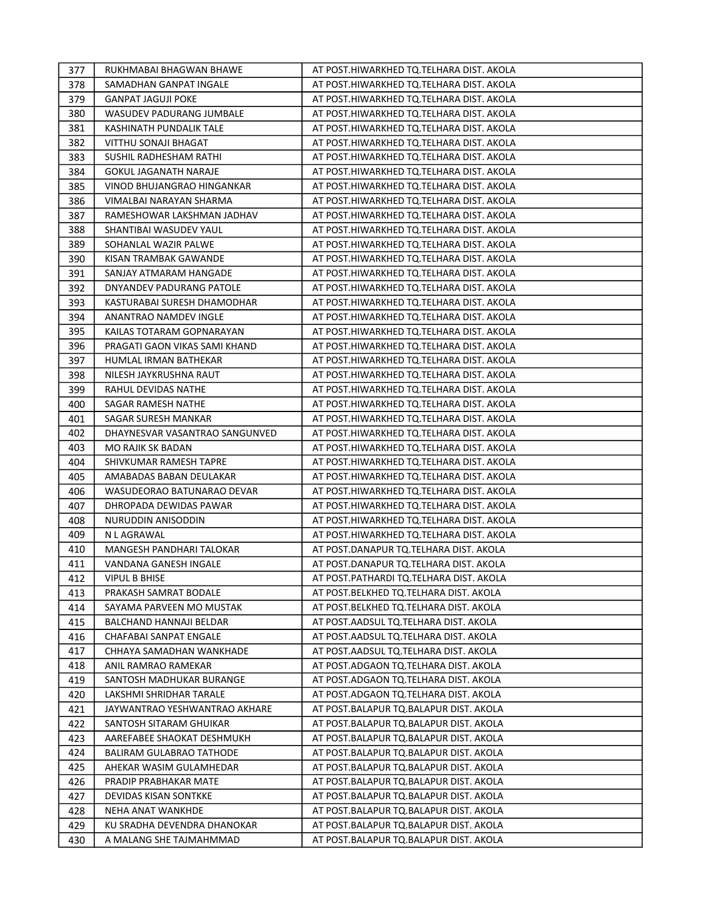| 377        | RUKHMABAI BHAGWAN BHAWE                          | AT POST.HIWARKHED TQ.TELHARA DIST. AKOLA                                         |
|------------|--------------------------------------------------|----------------------------------------------------------------------------------|
| 378        | SAMADHAN GANPAT INGALE                           | AT POST.HIWARKHED TQ.TELHARA DIST. AKOLA                                         |
| 379        | <b>GANPAT JAGUJI POKE</b>                        | AT POST.HIWARKHED TQ.TELHARA DIST. AKOLA                                         |
| 380        | WASUDEV PADURANG JUMBALE                         | AT POST.HIWARKHED TQ.TELHARA DIST. AKOLA                                         |
| 381        | KASHINATH PUNDALIK TALE                          | AT POST.HIWARKHED TQ.TELHARA DIST. AKOLA                                         |
| 382        | VITTHU SONAJI BHAGAT                             | AT POST.HIWARKHED TQ.TELHARA DIST. AKOLA                                         |
| 383        | SUSHIL RADHESHAM RATHI                           | AT POST.HIWARKHED TQ.TELHARA DIST. AKOLA                                         |
| 384        | <b>GOKUL JAGANATH NARAJE</b>                     | AT POST.HIWARKHED TQ.TELHARA DIST. AKOLA                                         |
| 385        | VINOD BHUJANGRAO HINGANKAR                       | AT POST.HIWARKHED TQ.TELHARA DIST. AKOLA                                         |
| 386        | VIMALBAI NARAYAN SHARMA                          | AT POST.HIWARKHED TQ.TELHARA DIST. AKOLA                                         |
| 387        | RAMESHOWAR LAKSHMAN JADHAV                       | AT POST.HIWARKHED TQ.TELHARA DIST. AKOLA                                         |
| 388        | SHANTIBAI WASUDEV YAUL                           | AT POST.HIWARKHED TQ.TELHARA DIST. AKOLA                                         |
| 389        | SOHANLAL WAZIR PALWE                             | AT POST.HIWARKHED TQ.TELHARA DIST. AKOLA                                         |
| 390        | KISAN TRAMBAK GAWANDE                            | AT POST.HIWARKHED TQ.TELHARA DIST. AKOLA                                         |
| 391        | SANJAY ATMARAM HANGADE                           | AT POST.HIWARKHED TQ.TELHARA DIST. AKOLA                                         |
| 392        | DNYANDEV PADURANG PATOLE                         | AT POST.HIWARKHED TQ.TELHARA DIST. AKOLA                                         |
| 393        | KASTURABAI SURESH DHAMODHAR                      | AT POST.HIWARKHED TQ.TELHARA DIST. AKOLA                                         |
| 394        | ANANTRAO NAMDEV INGLE                            | AT POST.HIWARKHED TQ.TELHARA DIST. AKOLA                                         |
| 395        | KAILAS TOTARAM GOPNARAYAN                        | AT POST.HIWARKHED TQ.TELHARA DIST. AKOLA                                         |
| 396        | PRAGATI GAON VIKAS SAMI KHAND                    | AT POST.HIWARKHED TQ.TELHARA DIST. AKOLA                                         |
| 397        | HUMLAL IRMAN BATHEKAR                            | AT POST.HIWARKHED TQ.TELHARA DIST. AKOLA                                         |
| 398        | NILESH JAYKRUSHNA RAUT                           | AT POST.HIWARKHED TQ.TELHARA DIST. AKOLA                                         |
| 399        | RAHUL DEVIDAS NATHE                              | AT POST.HIWARKHED TQ.TELHARA DIST. AKOLA                                         |
| 400        | SAGAR RAMESH NATHE                               | AT POST.HIWARKHED TQ.TELHARA DIST. AKOLA                                         |
| 401        | SAGAR SURESH MANKAR                              | AT POST.HIWARKHED TQ.TELHARA DIST. AKOLA                                         |
| 402        | DHAYNESVAR VASANTRAO SANGUNVED                   | AT POST.HIWARKHED TQ.TELHARA DIST. AKOLA                                         |
| 403        | MO RAJIK SK BADAN                                | AT POST.HIWARKHED TQ.TELHARA DIST. AKOLA                                         |
| 404        | SHIVKUMAR RAMESH TAPRE                           | AT POST.HIWARKHED TQ.TELHARA DIST. AKOLA                                         |
| 405        | AMABADAS BABAN DEULAKAR                          | AT POST.HIWARKHED TQ.TELHARA DIST. AKOLA                                         |
| 406        | WASUDEORAO BATUNARAO DEVAR                       | AT POST.HIWARKHED TQ.TELHARA DIST. AKOLA                                         |
| 407        | DHROPADA DEWIDAS PAWAR                           | AT POST.HIWARKHED TQ.TELHARA DIST. AKOLA                                         |
| 408        | NURUDDIN ANISODDIN                               | AT POST.HIWARKHED TQ.TELHARA DIST. AKOLA                                         |
| 409        | N L AGRAWAL                                      | AT POST.HIWARKHED TQ.TELHARA DIST. AKOLA                                         |
| 410        | <b>MANGESH PANDHARI TALOKAR</b>                  | AT POST.DANAPUR TQ.TELHARA DIST. AKOLA                                           |
| 411        | VANDANA GANESH INGALE                            | AT POST.DANAPUR TQ.TELHARA DIST. AKOLA                                           |
| 412        | <b>VIPUL B BHISE</b>                             | AT POST.PATHARDI TQ.TELHARA DIST. AKOLA                                          |
| 413        | PRAKASH SAMRAT BODALE                            | AT POST.BELKHED TQ.TELHARA DIST. AKOLA                                           |
| 414        | SAYAMA PARVEEN MO MUSTAK                         | AT POST.BELKHED TQ.TELHARA DIST. AKOLA                                           |
| 415        | BALCHAND HANNAJI BELDAR                          | AT POST.AADSUL TQ.TELHARA DIST. AKOLA                                            |
| 416        | CHAFABAI SANPAT ENGALE                           | AT POST.AADSUL TQ.TELHARA DIST. AKOLA                                            |
| 417        | CHHAYA SAMADHAN WANKHADE                         | AT POST.AADSUL TQ.TELHARA DIST. AKOLA                                            |
| 418        | ANIL RAMRAO RAMEKAR                              | AT POST.ADGAON TQ.TELHARA DIST. AKOLA                                            |
| 419        | SANTOSH MADHUKAR BURANGE                         | AT POST.ADGAON TQ.TELHARA DIST. AKOLA                                            |
| 420        | LAKSHMI SHRIDHAR TARALE                          | AT POST.ADGAON TQ.TELHARA DIST. AKOLA                                            |
| 421        | JAYWANTRAO YESHWANTRAO AKHARE                    | AT POST. BALAPUR TQ. BALAPUR DIST. AKOLA                                         |
| 422        | SANTOSH SITARAM GHUIKAR                          | AT POST.BALAPUR TQ.BALAPUR DIST. AKOLA                                           |
| 423        | AAREFABEE SHAOKAT DESHMUKH                       | AT POST.BALAPUR TQ.BALAPUR DIST. AKOLA                                           |
| 424        | BALIRAM GULABRAO TATHODE                         | AT POST.BALAPUR TQ.BALAPUR DIST. AKOLA                                           |
| 425        | AHEKAR WASIM GULAMHEDAR                          | AT POST.BALAPUR TQ.BALAPUR DIST. AKOLA                                           |
| 426        | PRADIP PRABHAKAR MATE                            | AT POST.BALAPUR TQ.BALAPUR DIST. AKOLA                                           |
| 427        | DEVIDAS KISAN SONTKKE                            | AT POST.BALAPUR TQ.BALAPUR DIST. AKOLA                                           |
| 428<br>429 | NEHA ANAT WANKHDE<br>KU SRADHA DEVENDRA DHANOKAR | AT POST.BALAPUR TQ.BALAPUR DIST. AKOLA<br>AT POST.BALAPUR TQ.BALAPUR DIST. AKOLA |
| 430        | A MALANG SHE TAJMAHMMAD                          | AT POST.BALAPUR TQ.BALAPUR DIST. AKOLA                                           |
|            |                                                  |                                                                                  |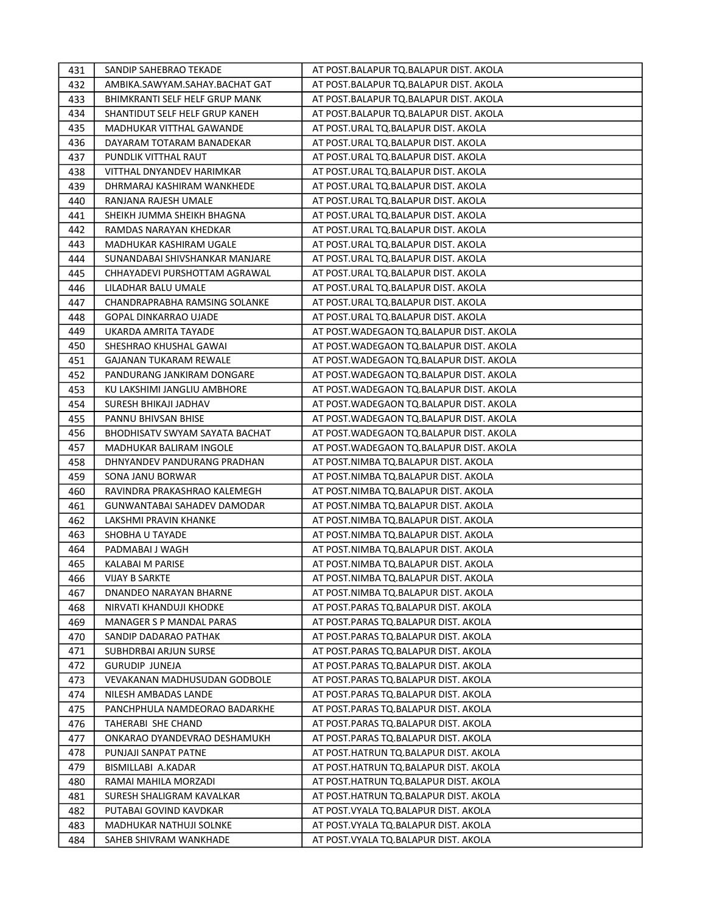| 431 | SANDIP SAHEBRAO TEKADE         | AT POST.BALAPUR TQ.BALAPUR DIST. AKOLA    |
|-----|--------------------------------|-------------------------------------------|
| 432 | AMBIKA.SAWYAM.SAHAY.BACHAT GAT | AT POST.BALAPUR TQ.BALAPUR DIST. AKOLA    |
| 433 | BHIMKRANTI SELF HELF GRUP MANK | AT POST.BALAPUR TQ.BALAPUR DIST. AKOLA    |
| 434 | SHANTIDUT SELF HELF GRUP KANEH | AT POST.BALAPUR TQ.BALAPUR DIST. AKOLA    |
| 435 | MADHUKAR VITTHAL GAWANDE       | AT POST.URAL TQ.BALAPUR DIST. AKOLA       |
| 436 | DAYARAM TOTARAM BANADEKAR      | AT POST.URAL TQ.BALAPUR DIST. AKOLA       |
| 437 | PUNDLIK VITTHAL RAUT           | AT POST.URAL TQ.BALAPUR DIST. AKOLA       |
| 438 | VITTHAL DNYANDEV HARIMKAR      | AT POST.URAL TQ.BALAPUR DIST. AKOLA       |
| 439 | DHRMARAJ KASHIRAM WANKHEDE     | AT POST.URAL TQ.BALAPUR DIST. AKOLA       |
| 440 | RANJANA RAJESH UMALE           | AT POST.URAL TQ.BALAPUR DIST. AKOLA       |
| 441 | SHEIKH JUMMA SHEIKH BHAGNA     | AT POST.URAL TQ.BALAPUR DIST. AKOLA       |
| 442 | RAMDAS NARAYAN KHEDKAR         | AT POST.URAL TQ.BALAPUR DIST. AKOLA       |
| 443 | MADHUKAR KASHIRAM UGALE        | AT POST.URAL TQ.BALAPUR DIST. AKOLA       |
| 444 | SUNANDABAI SHIVSHANKAR MANJARE | AT POST.URAL TQ.BALAPUR DIST. AKOLA       |
| 445 | CHHAYADEVI PURSHOTTAM AGRAWAL  | AT POST.URAL TQ.BALAPUR DIST. AKOLA       |
| 446 | LILADHAR BALU UMALE            | AT POST.URAL TQ.BALAPUR DIST. AKOLA       |
| 447 | CHANDRAPRABHA RAMSING SOLANKE  | AT POST.URAL TQ.BALAPUR DIST. AKOLA       |
| 448 | GOPAL DINKARRAO UJADE          | AT POST.URAL TQ.BALAPUR DIST. AKOLA       |
| 449 | UKARDA AMRITA TAYADE           | AT POST. WADEGAON TO. BALAPUR DIST. AKOLA |
| 450 | SHESHRAO KHUSHAL GAWAI         | AT POST.WADEGAON TQ.BALAPUR DIST. AKOLA   |
| 451 | <b>GAJANAN TUKARAM REWALE</b>  | AT POST.WADEGAON TQ.BALAPUR DIST. AKOLA   |
| 452 | PANDURANG JANKIRAM DONGARE     | AT POST. WADEGAON TO. BALAPUR DIST. AKOLA |
| 453 | KU LAKSHIMI JANGLIU AMBHORE    | AT POST.WADEGAON TQ.BALAPUR DIST. AKOLA   |
| 454 | SURESH BHIKAJI JADHAV          | AT POST.WADEGAON TQ.BALAPUR DIST. AKOLA   |
| 455 | PANNU BHIVSAN BHISE            | AT POST.WADEGAON TQ.BALAPUR DIST. AKOLA   |
| 456 | BHODHISATV SWYAM SAYATA BACHAT | AT POST. WADEGAON TO. BALAPUR DIST. AKOLA |
| 457 | MADHUKAR BALIRAM INGOLE        | AT POST. WADEGAON TO. BALAPUR DIST. AKOLA |
| 458 | DHNYANDEV PANDURANG PRADHAN    | AT POST.NIMBA TQ.BALAPUR DIST. AKOLA      |
| 459 | SONA JANU BORWAR               | AT POST.NIMBA TQ.BALAPUR DIST. AKOLA      |
| 460 | RAVINDRA PRAKASHRAO KALEMEGH   | AT POST.NIMBA TQ.BALAPUR DIST. AKOLA      |
| 461 | GUNWANTABAI SAHADEV DAMODAR    | AT POST.NIMBA TQ.BALAPUR DIST. AKOLA      |
| 462 | LAKSHMI PRAVIN KHANKE          | AT POST.NIMBA TQ.BALAPUR DIST. AKOLA      |
| 463 | SHOBHA U TAYADE                | AT POST.NIMBA TQ.BALAPUR DIST. AKOLA      |
| 464 | PADMABAI J WAGH                | AT POST.NIMBA TQ.BALAPUR DIST. AKOLA      |
| 465 | KALABAI M PARISE               | AT POST.NIMBA TQ.BALAPUR DIST. AKOLA      |
| 466 | <b>VIJAY B SARKTE</b>          | AT POST.NIMBA TQ.BALAPUR DIST. AKOLA      |
| 467 | DNANDEO NARAYAN BHARNE         | AT POST.NIMBA TQ.BALAPUR DIST. AKOLA      |
| 468 | NIRVATI KHANDUJI KHODKE        | AT POST.PARAS TQ.BALAPUR DIST. AKOLA      |
| 469 | MANAGER S P MANDAL PARAS       | AT POST.PARAS TQ.BALAPUR DIST. AKOLA      |
| 470 | SANDIP DADARAO PATHAK          | AT POST.PARAS TQ.BALAPUR DIST. AKOLA      |
| 471 | SUBHDRBAI ARJUN SURSE          | AT POST.PARAS TQ.BALAPUR DIST. AKOLA      |
| 472 | <b>GURUDIP JUNEJA</b>          | AT POST.PARAS TQ.BALAPUR DIST. AKOLA      |
| 473 | VEVAKANAN MADHUSUDAN GODBOLE   | AT POST.PARAS TQ.BALAPUR DIST. AKOLA      |
| 474 | NILESH AMBADAS LANDE           | AT POST. PARAS TO. BALAPUR DIST. AKOLA    |
| 475 | PANCHPHULA NAMDEORAO BADARKHE  | AT POST.PARAS TQ.BALAPUR DIST. AKOLA      |
| 476 | TAHERABI SHE CHAND             | AT POST.PARAS TQ.BALAPUR DIST. AKOLA      |
| 477 | ONKARAO DYANDEVRAO DESHAMUKH   | AT POST.PARAS TQ.BALAPUR DIST. AKOLA      |
| 478 | PUNJAJI SANPAT PATNE           | AT POST.HATRUN TQ.BALAPUR DIST. AKOLA     |
| 479 | BISMILLABI A.KADAR             | AT POST.HATRUN TQ.BALAPUR DIST. AKOLA     |
| 480 | RAMAI MAHILA MORZADI           | AT POST.HATRUN TQ.BALAPUR DIST. AKOLA     |
| 481 | SURESH SHALIGRAM KAVALKAR      | AT POST.HATRUN TQ.BALAPUR DIST. AKOLA     |
| 482 | PUTABAI GOVIND KAVDKAR         | AT POST.VYALA TQ.BALAPUR DIST. AKOLA      |
| 483 | MADHUKAR NATHUJI SOLNKE        | AT POST.VYALA TQ.BALAPUR DIST. AKOLA      |
| 484 | SAHEB SHIVRAM WANKHADE         | AT POST. VYALA TQ. BALAPUR DIST. AKOLA    |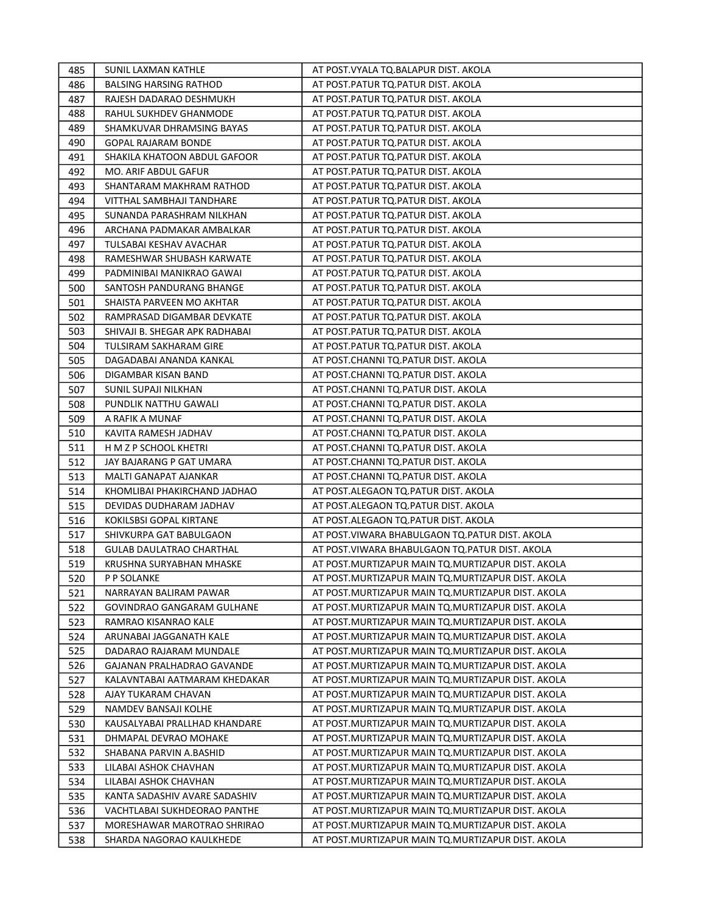| 485 | SUNIL LAXMAN KATHLE             | AT POST. VYALA TQ. BALAPUR DIST. AKOLA              |
|-----|---------------------------------|-----------------------------------------------------|
| 486 | <b>BALSING HARSING RATHOD</b>   | AT POST.PATUR TQ.PATUR DIST. AKOLA                  |
| 487 | RAJESH DADARAO DESHMUKH         | AT POST.PATUR TQ.PATUR DIST. AKOLA                  |
| 488 | RAHUL SUKHDEV GHANMODE          | AT POST.PATUR TQ.PATUR DIST. AKOLA                  |
| 489 | SHAMKUVAR DHRAMSING BAYAS       | AT POST.PATUR TQ.PATUR DIST. AKOLA                  |
| 490 | <b>GOPAL RAJARAM BONDE</b>      | AT POST.PATUR TQ.PATUR DIST. AKOLA                  |
| 491 | SHAKILA KHATOON ABDUL GAFOOR    | AT POST.PATUR TQ.PATUR DIST. AKOLA                  |
| 492 | MO. ARIF ABDUL GAFUR            | AT POST. PATUR TQ. PATUR DIST. AKOLA                |
| 493 | SHANTARAM MAKHRAM RATHOD        | AT POST.PATUR TQ.PATUR DIST. AKOLA                  |
| 494 | VITTHAL SAMBHAJI TANDHARE       | AT POST.PATUR TQ.PATUR DIST. AKOLA                  |
| 495 | SUNANDA PARASHRAM NILKHAN       | AT POST.PATUR TQ.PATUR DIST. AKOLA                  |
| 496 | ARCHANA PADMAKAR AMBALKAR       | AT POST.PATUR TQ.PATUR DIST. AKOLA                  |
| 497 | TULSABAI KESHAV AVACHAR         | AT POST.PATUR TQ.PATUR DIST. AKOLA                  |
| 498 | RAMESHWAR SHUBASH KARWATE       | AT POST.PATUR TQ.PATUR DIST. AKOLA                  |
| 499 | PADMINIBAI MANIKRAO GAWAI       | AT POST.PATUR TQ.PATUR DIST. AKOLA                  |
| 500 | SANTOSH PANDURANG BHANGE        | AT POST.PATUR TQ.PATUR DIST. AKOLA                  |
| 501 | SHAISTA PARVEEN MO AKHTAR       | AT POST.PATUR TQ.PATUR DIST. AKOLA                  |
| 502 | RAMPRASAD DIGAMBAR DEVKATE      | AT POST.PATUR TQ.PATUR DIST. AKOLA                  |
| 503 | SHIVAJI B. SHEGAR APK RADHABAI  | AT POST.PATUR TQ.PATUR DIST. AKOLA                  |
| 504 | TULSIRAM SAKHARAM GIRE          | AT POST. PATUR TQ. PATUR DIST. AKOLA                |
| 505 | DAGADABAI ANANDA KANKAL         | AT POST.CHANNI TQ.PATUR DIST. AKOLA                 |
| 506 | DIGAMBAR KISAN BAND             | AT POST.CHANNI TQ.PATUR DIST. AKOLA                 |
| 507 | SUNIL SUPAJI NILKHAN            | AT POST.CHANNI TQ.PATUR DIST. AKOLA                 |
| 508 | PUNDLIK NATTHU GAWALI           | AT POST.CHANNI TQ.PATUR DIST. AKOLA                 |
| 509 | A RAFIK A MUNAF                 | AT POST.CHANNI TQ.PATUR DIST. AKOLA                 |
| 510 | KAVITA RAMESH JADHAV            | AT POST.CHANNI TQ.PATUR DIST. AKOLA                 |
| 511 | H M Z P SCHOOL KHETRI           | AT POST.CHANNI TQ.PATUR DIST. AKOLA                 |
| 512 | JAY BAJARANG P GAT UMARA        | AT POST.CHANNI TQ.PATUR DIST. AKOLA                 |
| 513 | MALTI GANAPAT AJANKAR           | AT POST.CHANNI TQ.PATUR DIST. AKOLA                 |
| 514 | KHOMLIBAI PHAKIRCHAND JADHAO    | AT POST.ALEGAON TQ.PATUR DIST. AKOLA                |
| 515 | DEVIDAS DUDHARAM JADHAV         | AT POST.ALEGAON TQ.PATUR DIST. AKOLA                |
| 516 | KOKILSBSI GOPAL KIRTANE         | AT POST.ALEGAON TQ.PATUR DIST. AKOLA                |
| 517 | SHIVKURPA GAT BABULGAON         | AT POST.VIWARA BHABULGAON TQ.PATUR DIST. AKOLA      |
| 518 | <b>GULAB DAULATRAO CHARTHAL</b> | AT POST. VIWARA BHABULGAON TO. PATUR DIST. AKOLA    |
| 519 | KRUSHNA SURYABHAN MHASKE        | AT POST. MURTIZAPUR MAIN TO. MURTIZAPUR DIST. AKOLA |
| 520 | P P SOLANKE                     | AT POST. MURTIZAPUR MAIN TQ. MURTIZAPUR DIST. AKOLA |
| 521 | NARRAYAN BALIRAM PAWAR          | AT POST. MURTIZAPUR MAIN TO. MURTIZAPUR DIST. AKOLA |
| 522 | GOVINDRAO GANGARAM GULHANE      | AT POST.MURTIZAPUR MAIN TQ.MURTIZAPUR DIST. AKOLA   |
| 523 | RAMRAO KISANRAO KALE            | AT POST.MURTIZAPUR MAIN TQ.MURTIZAPUR DIST. AKOLA   |
| 524 | ARUNABAI JAGGANATH KALE         | AT POST.MURTIZAPUR MAIN TQ.MURTIZAPUR DIST. AKOLA   |
| 525 | DADARAO RAJARAM MUNDALE         | AT POST.MURTIZAPUR MAIN TQ.MURTIZAPUR DIST. AKOLA   |
| 526 | GAJANAN PRALHADRAO GAVANDE      | AT POST.MURTIZAPUR MAIN TQ.MURTIZAPUR DIST. AKOLA   |
| 527 | KALAVNTABAI AATMARAM KHEDAKAR   | AT POST.MURTIZAPUR MAIN TQ.MURTIZAPUR DIST. AKOLA   |
| 528 | AJAY TUKARAM CHAVAN             | AT POST.MURTIZAPUR MAIN TQ.MURTIZAPUR DIST. AKOLA   |
| 529 | NAMDEV BANSAJI KOLHE            | AT POST.MURTIZAPUR MAIN TQ.MURTIZAPUR DIST. AKOLA   |
| 530 | KAUSALYABAI PRALLHAD KHANDARE   | AT POST. MURTIZAPUR MAIN TO. MURTIZAPUR DIST. AKOLA |
| 531 | DHMAPAL DEVRAO MOHAKE           | AT POST.MURTIZAPUR MAIN TO.MURTIZAPUR DIST. AKOLA   |
| 532 | SHABANA PARVIN A.BASHID         | AT POST.MURTIZAPUR MAIN TQ.MURTIZAPUR DIST. AKOLA   |
| 533 | LILABAI ASHOK CHAVHAN           | AT POST.MURTIZAPUR MAIN TQ.MURTIZAPUR DIST. AKOLA   |
| 534 | LILABAI ASHOK CHAVHAN           | AT POST.MURTIZAPUR MAIN TQ.MURTIZAPUR DIST. AKOLA   |
| 535 | KANTA SADASHIV AVARE SADASHIV   | AT POST.MURTIZAPUR MAIN TQ.MURTIZAPUR DIST. AKOLA   |
| 536 | VACHTLABAI SUKHDEORAO PANTHE    | AT POST. MURTIZAPUR MAIN TO. MURTIZAPUR DIST. AKOLA |
| 537 | MORESHAWAR MAROTRAO SHRIRAO     | AT POST.MURTIZAPUR MAIN TQ.MURTIZAPUR DIST. AKOLA   |
| 538 | SHARDA NAGORAO KAULKHEDE        | AT POST.MURTIZAPUR MAIN TQ.MURTIZAPUR DIST. AKOLA   |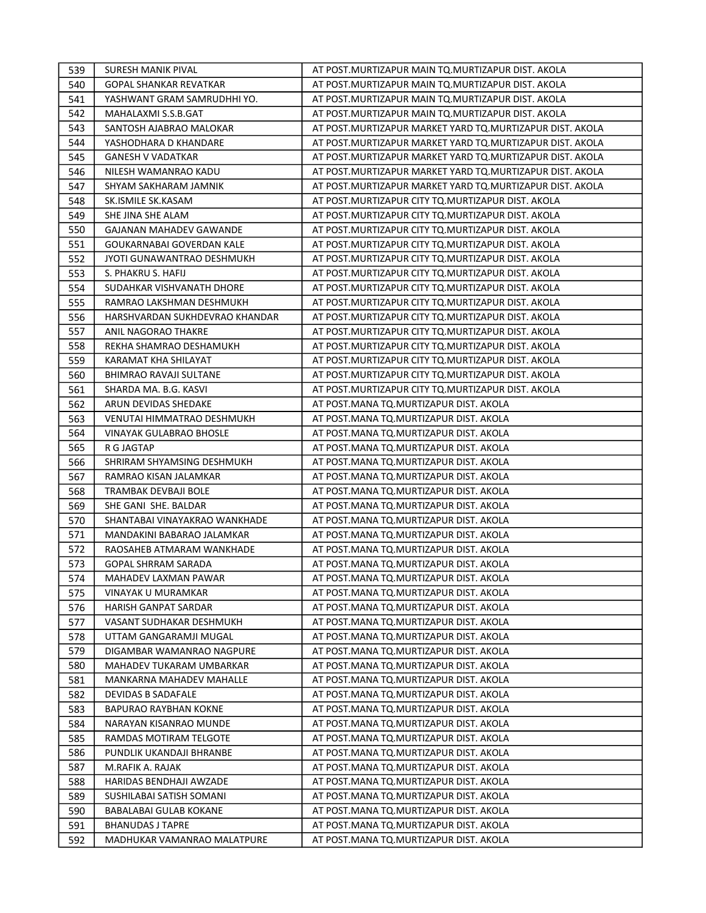| 539 | <b>SURESH MANIK PIVAL</b>      | AT POST.MURTIZAPUR MAIN TQ.MURTIZAPUR DIST. AKOLA          |
|-----|--------------------------------|------------------------------------------------------------|
| 540 | <b>GOPAL SHANKAR REVATKAR</b>  | AT POST.MURTIZAPUR MAIN TQ.MURTIZAPUR DIST. AKOLA          |
| 541 | YASHWANT GRAM SAMRUDHHI YO.    | AT POST.MURTIZAPUR MAIN TQ.MURTIZAPUR DIST. AKOLA          |
| 542 | MAHALAXMI S.S.B.GAT            | AT POST.MURTIZAPUR MAIN TQ.MURTIZAPUR DIST. AKOLA          |
| 543 | SANTOSH AJABRAO MALOKAR        | AT POST.MURTIZAPUR MARKET YARD TQ.MURTIZAPUR DIST. AKOLA   |
| 544 | YASHODHARA D KHANDARE          | AT POST. MURTIZAPUR MARKET YARD TQ. MURTIZAPUR DIST. AKOLA |
| 545 | <b>GANESH V VADATKAR</b>       | AT POST. MURTIZAPUR MARKET YARD TQ. MURTIZAPUR DIST. AKOLA |
| 546 | NILESH WAMANRAO KADU           | AT POST. MURTIZAPUR MARKET YARD TQ. MURTIZAPUR DIST. AKOLA |
| 547 | SHYAM SAKHARAM JAMNIK          | AT POST.MURTIZAPUR MARKET YARD TO.MURTIZAPUR DIST. AKOLA   |
| 548 | SK.ISMILE SK.KASAM             | AT POST. MURTIZAPUR CITY TQ. MURTIZAPUR DIST. AKOLA        |
| 549 | SHE JINA SHE ALAM              | AT POST.MURTIZAPUR CITY TQ.MURTIZAPUR DIST. AKOLA          |
| 550 | <b>GAJANAN MAHADEV GAWANDE</b> | AT POST. MURTIZAPUR CITY TQ. MURTIZAPUR DIST. AKOLA        |
| 551 | GOUKARNABAI GOVERDAN KALE      | AT POST.MURTIZAPUR CITY TQ.MURTIZAPUR DIST. AKOLA          |
| 552 | JYOTI GUNAWANTRAO DESHMUKH     | AT POST.MURTIZAPUR CITY TQ.MURTIZAPUR DIST. AKOLA          |
| 553 | S. PHAKRU S. HAFIJ             | AT POST.MURTIZAPUR CITY TQ.MURTIZAPUR DIST. AKOLA          |
| 554 | SUDAHKAR VISHVANATH DHORE      | AT POST. MURTIZAPUR CITY TQ. MURTIZAPUR DIST. AKOLA        |
| 555 | RAMRAO LAKSHMAN DESHMUKH       | AT POST. MURTIZAPUR CITY TQ. MURTIZAPUR DIST. AKOLA        |
| 556 | HARSHVARDAN SUKHDEVRAO KHANDAR | AT POST. MURTIZAPUR CITY TQ. MURTIZAPUR DIST. AKOLA        |
| 557 | ANIL NAGORAO THAKRE            | AT POST.MURTIZAPUR CITY TQ.MURTIZAPUR DIST. AKOLA          |
| 558 | REKHA SHAMRAO DESHAMUKH        | AT POST.MURTIZAPUR CITY TQ.MURTIZAPUR DIST. AKOLA          |
| 559 | KARAMAT KHA SHILAYAT           | AT POST.MURTIZAPUR CITY TQ.MURTIZAPUR DIST. AKOLA          |
| 560 | <b>BHIMRAO RAVAJI SULTANE</b>  | AT POST. MURTIZAPUR CITY TO. MURTIZAPUR DIST. AKOLA        |
| 561 | SHARDA MA. B.G. KASVI          | AT POST.MURTIZAPUR CITY TQ.MURTIZAPUR DIST. AKOLA          |
| 562 | ARUN DEVIDAS SHEDAKE           | AT POST.MANA TQ.MURTIZAPUR DIST. AKOLA                     |
| 563 | VENUTAI HIMMATRAO DESHMUKH     | AT POST.MANA TQ.MURTIZAPUR DIST. AKOLA                     |
| 564 | <b>VINAYAK GULABRAO BHOSLE</b> | AT POST.MANA TQ.MURTIZAPUR DIST. AKOLA                     |
| 565 | R G JAGTAP                     | AT POST.MANA TQ.MURTIZAPUR DIST. AKOLA                     |
| 566 | SHRIRAM SHYAMSING DESHMUKH     | AT POST.MANA TQ.MURTIZAPUR DIST. AKOLA                     |
| 567 | RAMRAO KISAN JALAMKAR          | AT POST.MANA TQ.MURTIZAPUR DIST. AKOLA                     |
| 568 | TRAMBAK DEVBAJI BOLE           | AT POST. MANA TQ. MURTIZAPUR DIST. AKOLA                   |
| 569 | SHE GANI SHE. BALDAR           | AT POST. MANA TQ. MURTIZAPUR DIST. AKOLA                   |
| 570 | SHANTABAI VINAYAKRAO WANKHADE  | AT POST. MANA TQ. MURTIZAPUR DIST. AKOLA                   |
| 571 | MANDAKINI BABARAO JALAMKAR     | AT POST.MANA TQ.MURTIZAPUR DIST. AKOLA                     |
| 572 | RAOSAHEB ATMARAM WANKHADE      | AT POST.MANA TQ.MURTIZAPUR DIST. AKOLA                     |
| 573 | <b>GOPAL SHRRAM SARADA</b>     | AT POST.MANA TQ.MURTIZAPUR DIST. AKOLA                     |
| 574 | MAHADEV LAXMAN PAWAR           | AT POST.MANA TO.MURTIZAPUR DIST. AKOLA                     |
| 575 | VINAYAK U MURAMKAR             | AT POST. MANA TQ. MURTIZAPUR DIST. AKOLA                   |
| 576 | HARISH GANPAT SARDAR           | AT POST.MANA TQ.MURTIZAPUR DIST. AKOLA                     |
| 577 | VASANT SUDHAKAR DESHMUKH       | AT POST.MANA TQ.MURTIZAPUR DIST. AKOLA                     |
| 578 | UTTAM GANGARAMJI MUGAL         | AT POST.MANA TQ.MURTIZAPUR DIST. AKOLA                     |
| 579 | DIGAMBAR WAMANRAO NAGPURE      | AT POST.MANA TQ.MURTIZAPUR DIST. AKOLA                     |
| 580 | MAHADEV TUKARAM UMBARKAR       | AT POST.MANA TQ.MURTIZAPUR DIST. AKOLA                     |
| 581 | MANKARNA MAHADEV MAHALLE       | AT POST.MANA TQ.MURTIZAPUR DIST. AKOLA                     |
| 582 | DEVIDAS B SADAFALE             | AT POST.MANA TQ.MURTIZAPUR DIST. AKOLA                     |
| 583 | BAPURAO RAYBHAN KOKNE          | AT POST.MANA TQ.MURTIZAPUR DIST. AKOLA                     |
| 584 | NARAYAN KISANRAO MUNDE         | AT POST.MANA TQ.MURTIZAPUR DIST. AKOLA                     |
| 585 | RAMDAS MOTIRAM TELGOTE         | AT POST.MANA TQ.MURTIZAPUR DIST. AKOLA                     |
| 586 | PUNDLIK UKANDAJI BHRANBE       | AT POST.MANA TQ.MURTIZAPUR DIST. AKOLA                     |
| 587 | M.RAFIK A. RAJAK               | AT POST.MANA TQ.MURTIZAPUR DIST. AKOLA                     |
| 588 | HARIDAS BENDHAJI AWZADE        | AT POST.MANA TQ.MURTIZAPUR DIST. AKOLA                     |
| 589 | SUSHILABAI SATISH SOMANI       | AT POST.MANA TQ.MURTIZAPUR DIST. AKOLA                     |
| 590 | BABALABAI GULAB KOKANE         | AT POST.MANA TQ.MURTIZAPUR DIST. AKOLA                     |
| 591 | BHANUDAS J TAPRE               | AT POST.MANA TQ.MURTIZAPUR DIST. AKOLA                     |
| 592 | MADHUKAR VAMANRAO MALATPURE    | AT POST.MANA TQ.MURTIZAPUR DIST. AKOLA                     |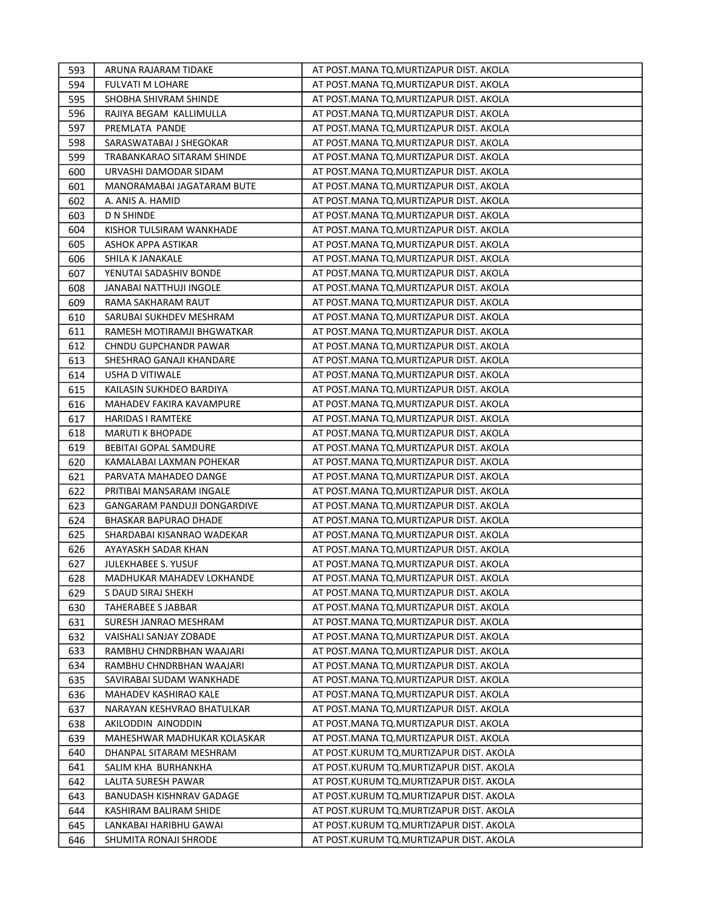| 593 | ARUNA RAJARAM TIDAKE         | AT POST.MANA TQ.MURTIZAPUR DIST. AKOLA   |
|-----|------------------------------|------------------------------------------|
| 594 | <b>FULVATI M LOHARE</b>      | AT POST. MANA TQ. MURTIZAPUR DIST. AKOLA |
| 595 | SHOBHA SHIVRAM SHINDE        | AT POST.MANA TQ.MURTIZAPUR DIST. AKOLA   |
| 596 | RAJIYA BEGAM KALLIMULLA      | AT POST.MANA TQ.MURTIZAPUR DIST. AKOLA   |
| 597 | PREMLATA PANDE               | AT POST.MANA TQ.MURTIZAPUR DIST. AKOLA   |
| 598 | SARASWATABAI J SHEGOKAR      | AT POST.MANA TQ.MURTIZAPUR DIST. AKOLA   |
| 599 | TRABANKARAO SITARAM SHINDE   | AT POST.MANA TQ.MURTIZAPUR DIST. AKOLA   |
| 600 | URVASHI DAMODAR SIDAM        | AT POST.MANA TQ.MURTIZAPUR DIST. AKOLA   |
| 601 | MANORAMABAI JAGATARAM BUTE   | AT POST.MANA TQ.MURTIZAPUR DIST. AKOLA   |
| 602 | A. ANIS A. HAMID             | AT POST.MANA TQ.MURTIZAPUR DIST. AKOLA   |
| 603 | D N SHINDE                   | AT POST.MANA TQ.MURTIZAPUR DIST. AKOLA   |
| 604 | KISHOR TULSIRAM WANKHADE     | AT POST.MANA TQ.MURTIZAPUR DIST. AKOLA   |
| 605 | ASHOK APPA ASTIKAR           | AT POST.MANA TQ.MURTIZAPUR DIST. AKOLA   |
| 606 | SHILA K JANAKALE             | AT POST.MANA TQ.MURTIZAPUR DIST. AKOLA   |
| 607 | YENUTAI SADASHIV BONDE       | AT POST.MANA TQ.MURTIZAPUR DIST. AKOLA   |
| 608 | JANABAI NATTHUJI INGOLE      | AT POST.MANA TQ.MURTIZAPUR DIST. AKOLA   |
| 609 | RAMA SAKHARAM RAUT           | AT POST. MANA TQ. MURTIZAPUR DIST. AKOLA |
| 610 | SARUBAI SUKHDEV MESHRAM      | AT POST.MANA TQ.MURTIZAPUR DIST. AKOLA   |
| 611 | RAMESH MOTIRAMJI BHGWATKAR   | AT POST.MANA TQ.MURTIZAPUR DIST. AKOLA   |
| 612 | <b>CHNDU GUPCHANDR PAWAR</b> | AT POST.MANA TQ.MURTIZAPUR DIST. AKOLA   |
| 613 | SHESHRAO GANAJI KHANDARE     | AT POST.MANA TQ.MURTIZAPUR DIST. AKOLA   |
| 614 | <b>USHA D VITIWALE</b>       | AT POST. MANA TQ. MURTIZAPUR DIST. AKOLA |
| 615 | KAILASIN SUKHDEO BARDIYA     | AT POST.MANA TQ.MURTIZAPUR DIST. AKOLA   |
| 616 | MAHADEV FAKIRA KAVAMPURE     | AT POST.MANA TQ.MURTIZAPUR DIST. AKOLA   |
| 617 | <b>HARIDAS I RAMTEKE</b>     | AT POST. MANA TQ. MURTIZAPUR DIST. AKOLA |
| 618 | <b>MARUTI K BHOPADE</b>      | AT POST. MANA TQ. MURTIZAPUR DIST. AKOLA |
| 619 | <b>BEBITAI GOPAL SAMDURE</b> | AT POST.MANA TQ.MURTIZAPUR DIST. AKOLA   |
| 620 | KAMALABAI LAXMAN POHEKAR     | AT POST. MANA TQ. MURTIZAPUR DIST. AKOLA |
| 621 | PARVATA MAHADEO DANGE        | AT POST.MANA TQ.MURTIZAPUR DIST. AKOLA   |
| 622 | PRITIBAI MANSARAM INGALE     | AT POST.MANA TQ.MURTIZAPUR DIST. AKOLA   |
| 623 | GANGARAM PANDUJI DONGARDIVE  | AT POST.MANA TQ.MURTIZAPUR DIST. AKOLA   |
| 624 | <b>BHASKAR BAPURAO DHADE</b> | AT POST.MANA TQ.MURTIZAPUR DIST. AKOLA   |
| 625 | SHARDABAI KISANRAO WADEKAR   | AT POST.MANA TQ.MURTIZAPUR DIST. AKOLA   |
| 626 | AYAYASKH SADAR KHAN          | AT POST.MANA TQ.MURTIZAPUR DIST. AKOLA   |
| 627 | <b>JULEKHABEE S. YUSUF</b>   | AT POST. MANA TQ. MURTIZAPUR DIST. AKOLA |
| 628 | MADHUKAR MAHADEV LOKHANDE    | AT POST.MANA TQ.MURTIZAPUR DIST. AKOLA   |
| 629 | S DAUD SIRAJ SHEKH           | AT POST. MANA TQ. MURTIZAPUR DIST. AKOLA |
| 630 | TAHERABEE S JABBAR           | AT POST.MANA TQ.MURTIZAPUR DIST. AKOLA   |
| 631 | SURESH JANRAO MESHRAM        | AT POST.MANA TQ.MURTIZAPUR DIST. AKOLA   |
| 632 | VAISHALI SANJAY ZOBADE       | AT POST.MANA TQ.MURTIZAPUR DIST. AKOLA   |
| 633 | RAMBHU CHNDRBHAN WAAJARI     | AT POST.MANA TQ.MURTIZAPUR DIST. AKOLA   |
| 634 | RAMBHU CHNDRBHAN WAAJARI     | AT POST. MANA TQ. MURTIZAPUR DIST. AKOLA |
| 635 | SAVIRABAI SUDAM WANKHADE     | AT POST.MANA TQ.MURTIZAPUR DIST. AKOLA   |
| 636 | MAHADEV KASHIRAO KALE        | AT POST.MANA TQ.MURTIZAPUR DIST. AKOLA   |
| 637 | NARAYAN KESHVRAO BHATULKAR   | AT POST.MANA TQ.MURTIZAPUR DIST. AKOLA   |
| 638 | AKILODDIN AINODDIN           | AT POST.MANA TQ.MURTIZAPUR DIST. AKOLA   |
| 639 | MAHESHWAR MADHUKAR KOLASKAR  | AT POST.MANA TQ.MURTIZAPUR DIST. AKOLA   |
| 640 | DHANPAL SITARAM MESHRAM      | AT POST.KURUM TQ.MURTIZAPUR DIST. AKOLA  |
| 641 | SALIM KHA BURHANKHA          | AT POST.KURUM TQ.MURTIZAPUR DIST. AKOLA  |
| 642 | LALITA SURESH PAWAR          | AT POST.KURUM TQ.MURTIZAPUR DIST. AKOLA  |
| 643 | BANUDASH KISHNRAV GADAGE     | AT POST.KURUM TQ.MURTIZAPUR DIST. AKOLA  |
| 644 | KASHIRAM BALIRAM SHIDE       | AT POST.KURUM TQ.MURTIZAPUR DIST. AKOLA  |
| 645 | LANKABAI HARIBHU GAWAI       | AT POST.KURUM TQ.MURTIZAPUR DIST. AKOLA  |
| 646 | SHUMITA RONAJI SHRODE        | AT POST.KURUM TQ.MURTIZAPUR DIST. AKOLA  |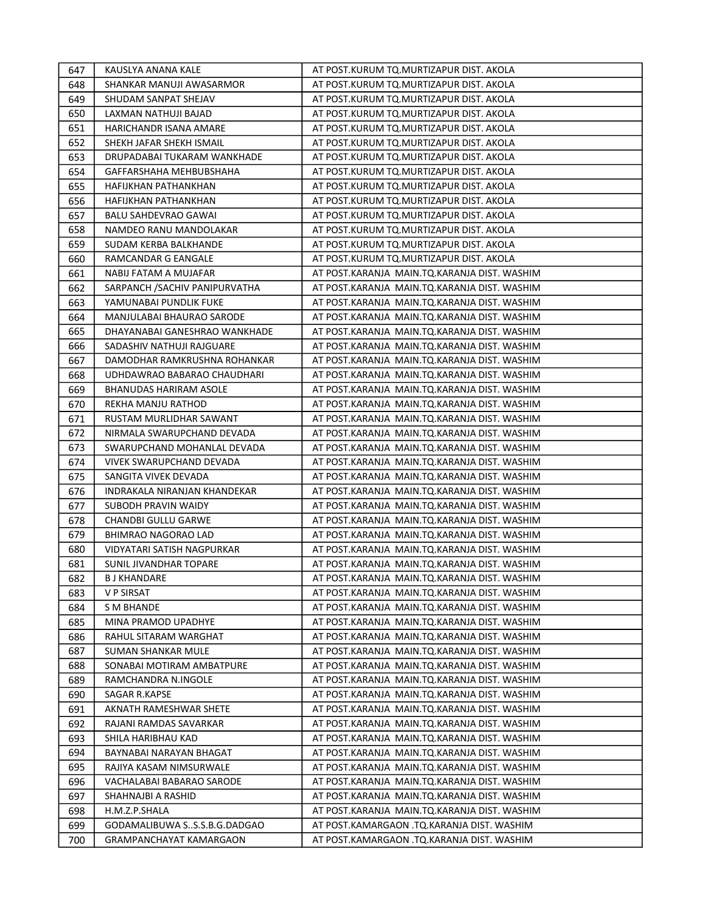| 647 | KAUSLYA ANANA KALE             | AT POST.KURUM TQ.MURTIZAPUR DIST. AKOLA      |
|-----|--------------------------------|----------------------------------------------|
| 648 | SHANKAR MANUJI AWASARMOR       | AT POST.KURUM TQ.MURTIZAPUR DIST. AKOLA      |
| 649 | SHUDAM SANPAT SHEJAV           | AT POST.KURUM TQ.MURTIZAPUR DIST. AKOLA      |
| 650 | LAXMAN NATHUJI BAJAD           | AT POST.KURUM TQ.MURTIZAPUR DIST. AKOLA      |
| 651 | HARICHANDR ISANA AMARE         | AT POST.KURUM TQ.MURTIZAPUR DIST. AKOLA      |
| 652 | SHEKH JAFAR SHEKH ISMAIL       | AT POST.KURUM TQ.MURTIZAPUR DIST. AKOLA      |
| 653 | DRUPADABAI TUKARAM WANKHADE    | AT POST.KURUM TQ.MURTIZAPUR DIST. AKOLA      |
| 654 | GAFFARSHAHA MEHBUBSHAHA        | AT POST.KURUM TQ.MURTIZAPUR DIST. AKOLA      |
| 655 | HAFIJKHAN PATHANKHAN           | AT POST.KURUM TQ.MURTIZAPUR DIST. AKOLA      |
| 656 | HAFIJKHAN PATHANKHAN           | AT POST.KURUM TQ.MURTIZAPUR DIST. AKOLA      |
| 657 | <b>BALU SAHDEVRAO GAWAI</b>    | AT POST.KURUM TQ.MURTIZAPUR DIST. AKOLA      |
| 658 | NAMDEO RANU MANDOLAKAR         | AT POST.KURUM TQ.MURTIZAPUR DIST. AKOLA      |
| 659 | SUDAM KERBA BALKHANDE          | AT POST.KURUM TQ.MURTIZAPUR DIST. AKOLA      |
| 660 | RAMCANDAR G EANGALE            | AT POST.KURUM TQ.MURTIZAPUR DIST. AKOLA      |
| 661 | NABIJ FATAM A MUJAFAR          | AT POST.KARANJA MAIN.TQ.KARANJA DIST. WASHIM |
| 662 | SARPANCH / SACHIV PANIPURVATHA | AT POST.KARANJA MAIN.TQ.KARANJA DIST. WASHIM |
| 663 | YAMUNABAI PUNDLIK FUKE         | AT POST.KARANJA MAIN.TQ.KARANJA DIST. WASHIM |
| 664 | MANJULABAI BHAURAO SARODE      | AT POST.KARANJA MAIN.TQ.KARANJA DIST. WASHIM |
| 665 | DHAYANABAI GANESHRAO WANKHADE  | AT POST.KARANJA MAIN.TQ.KARANJA DIST. WASHIM |
| 666 | SADASHIV NATHUJI RAJGUARE      | AT POST.KARANJA MAIN.TQ.KARANJA DIST. WASHIM |
| 667 | DAMODHAR RAMKRUSHNA ROHANKAR   | AT POST.KARANJA MAIN.TQ.KARANJA DIST. WASHIM |
| 668 | UDHDAWRAO BABARAO CHAUDHARI    | AT POST.KARANJA MAIN.TQ.KARANJA DIST. WASHIM |
| 669 | BHANUDAS HARIRAM ASOLE         | AT POST.KARANJA MAIN.TQ.KARANJA DIST. WASHIM |
| 670 | REKHA MANJU RATHOD             | AT POST.KARANJA MAIN.TQ.KARANJA DIST. WASHIM |
| 671 | RUSTAM MURLIDHAR SAWANT        | AT POST.KARANJA MAIN.TQ.KARANJA DIST. WASHIM |
| 672 | NIRMALA SWARUPCHAND DEVADA     | AT POST.KARANJA MAIN.TQ.KARANJA DIST. WASHIM |
| 673 | SWARUPCHAND MOHANLAL DEVADA    | AT POST.KARANJA MAIN.TQ.KARANJA DIST. WASHIM |
| 674 | VIVEK SWARUPCHAND DEVADA       | AT POST.KARANJA MAIN.TQ.KARANJA DIST. WASHIM |
| 675 | SANGITA VIVEK DEVADA           | AT POST.KARANJA MAIN.TQ.KARANJA DIST. WASHIM |
| 676 | INDRAKALA NIRANJAN KHANDEKAR   | AT POST.KARANJA MAIN.TQ.KARANJA DIST. WASHIM |
| 677 | SUBODH PRAVIN WAIDY            | AT POST.KARANJA MAIN.TQ.KARANJA DIST. WASHIM |
| 678 | CHANDBI GULLU GARWE            | AT POST.KARANJA MAIN.TQ.KARANJA DIST. WASHIM |
| 679 | <b>BHIMRAO NAGORAO LAD</b>     | AT POST.KARANJA MAIN.TQ.KARANJA DIST. WASHIM |
| 680 | VIDYATARI SATISH NAGPURKAR     | AT POST.KARANJA MAIN.TQ.KARANJA DIST. WASHIM |
| 681 | SUNIL JIVANDHAR TOPARE         | AT POST.KARANJA MAIN.TQ.KARANJA DIST. WASHIM |
| 682 | <b>B J KHANDARE</b>            | AT POST.KARANJA MAIN.TQ.KARANJA DIST. WASHIM |
| 683 | V P SIRSAT                     | AT POST.KARANJA MAIN.TQ.KARANJA DIST. WASHIM |
| 684 | S M BHANDE                     | AT POST.KARANJA MAIN.TQ.KARANJA DIST. WASHIM |
| 685 | MINA PRAMOD UPADHYE            | AT POST.KARANJA MAIN.TQ.KARANJA DIST. WASHIM |
| 686 | RAHUL SITARAM WARGHAT          | AT POST.KARANJA MAIN.TQ.KARANJA DIST. WASHIM |
| 687 | SUMAN SHANKAR MULE             | AT POST.KARANJA MAIN.TQ.KARANJA DIST. WASHIM |
| 688 | SONABAI MOTIRAM AMBATPURE      | AT POST.KARANJA MAIN.TQ.KARANJA DIST. WASHIM |
| 689 | RAMCHANDRA N.INGOLE            | AT POST.KARANJA MAIN.TQ.KARANJA DIST. WASHIM |
| 690 | SAGAR R.KAPSE                  | AT POST.KARANJA MAIN.TQ.KARANJA DIST. WASHIM |
| 691 | AKNATH RAMESHWAR SHETE         | AT POST.KARANJA MAIN.TQ.KARANJA DIST. WASHIM |
| 692 | RAJANI RAMDAS SAVARKAR         | AT POST.KARANJA MAIN.TQ.KARANJA DIST. WASHIM |
| 693 | SHILA HARIBHAU KAD             | AT POST.KARANJA MAIN.TQ.KARANJA DIST. WASHIM |
| 694 | BAYNABAI NARAYAN BHAGAT        | AT POST.KARANJA MAIN.TQ.KARANJA DIST. WASHIM |
| 695 | RAJIYA KASAM NIMSURWALE        | AT POST.KARANJA MAIN.TQ.KARANJA DIST. WASHIM |
| 696 | VACHALABAI BABARAO SARODE      | AT POST.KARANJA MAIN.TQ.KARANJA DIST. WASHIM |
| 697 | SHAHNAJBI A RASHID             | AT POST.KARANJA MAIN.TQ.KARANJA DIST. WASHIM |
| 698 | H.M.Z.P.SHALA                  | AT POST.KARANJA MAIN.TQ.KARANJA DIST. WASHIM |
| 699 | GODAMALIBUWA SS.S.B.G.DADGAO   | AT POST.KAMARGAON .TQ.KARANJA DIST. WASHIM   |
| 700 | GRAMPANCHAYAT KAMARGAON        | AT POST.KAMARGAON .TQ.KARANJA DIST. WASHIM   |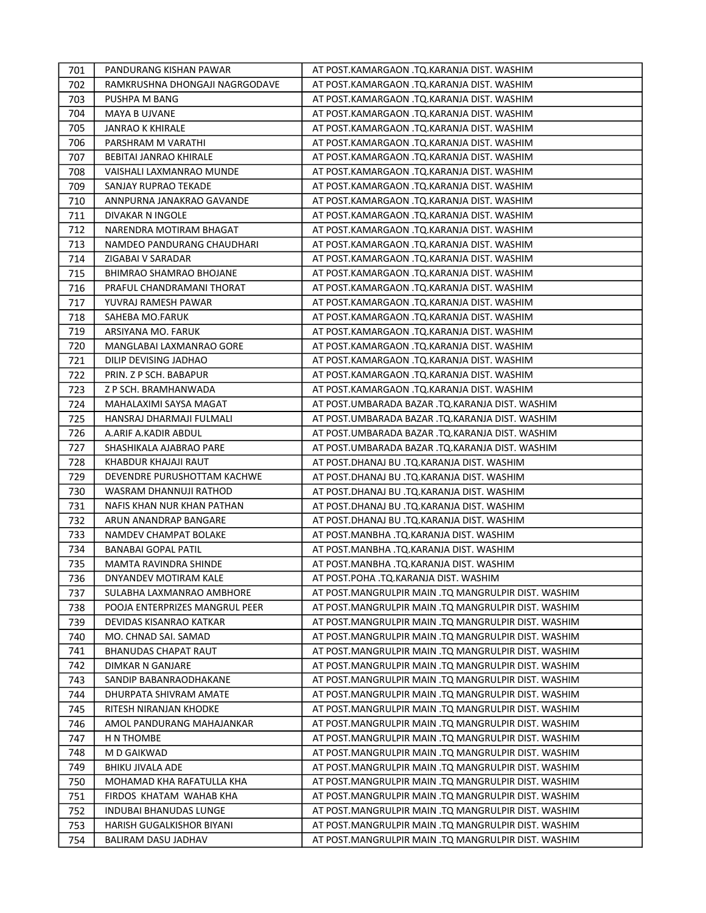| 701 | PANDURANG KISHAN PAWAR         | AT POST.KAMARGAON .TQ.KARANJA DIST. WASHIM          |
|-----|--------------------------------|-----------------------------------------------------|
| 702 | RAMKRUSHNA DHONGAJI NAGRGODAVE | AT POST.KAMARGAON .TQ.KARANJA DIST. WASHIM          |
| 703 | PUSHPA M BANG                  | AT POST.KAMARGAON .TQ.KARANJA DIST. WASHIM          |
| 704 | MAYA B UJVANE                  | AT POST.KAMARGAON .TQ.KARANJA DIST. WASHIM          |
| 705 | JANRAO K KHIRALE               | AT POST.KAMARGAON .TQ.KARANJA DIST. WASHIM          |
| 706 | PARSHRAM M VARATHI             | AT POST.KAMARGAON .TQ.KARANJA DIST. WASHIM          |
| 707 | BEBITAI JANRAO KHIRALE         | AT POST.KAMARGAON .TQ.KARANJA DIST. WASHIM          |
| 708 | VAISHALI LAXMANRAO MUNDE       | AT POST.KAMARGAON .TQ.KARANJA DIST. WASHIM          |
| 709 | SANJAY RUPRAO TEKADE           | AT POST.KAMARGAON .TQ.KARANJA DIST. WASHIM          |
| 710 | ANNPURNA JANAKRAO GAVANDE      | AT POST.KAMARGAON .TQ.KARANJA DIST. WASHIM          |
| 711 | DIVAKAR N INGOLE               | AT POST.KAMARGAON .TQ.KARANJA DIST. WASHIM          |
| 712 | NARENDRA MOTIRAM BHAGAT        | AT POST.KAMARGAON .TQ.KARANJA DIST. WASHIM          |
| 713 | NAMDEO PANDURANG CHAUDHARI     | AT POST.KAMARGAON .TQ.KARANJA DIST. WASHIM          |
| 714 | ZIGABAI V SARADAR              | AT POST.KAMARGAON .TQ.KARANJA DIST. WASHIM          |
| 715 | <b>BHIMRAO SHAMRAO BHOJANE</b> | AT POST.KAMARGAON .TQ.KARANJA DIST. WASHIM          |
| 716 | PRAFUL CHANDRAMANI THORAT      | AT POST.KAMARGAON .TQ.KARANJA DIST. WASHIM          |
| 717 | YUVRAJ RAMESH PAWAR            | AT POST.KAMARGAON .TQ.KARANJA DIST. WASHIM          |
| 718 | SAHEBA MO.FARUK                | AT POST.KAMARGAON .TQ.KARANJA DIST. WASHIM          |
| 719 | ARSIYANA MO. FARUK             | AT POST.KAMARGAON .TQ.KARANJA DIST. WASHIM          |
| 720 | MANGLABAI LAXMANRAO GORE       | AT POST.KAMARGAON .TQ.KARANJA DIST. WASHIM          |
| 721 | DILIP DEVISING JADHAO          | AT POST.KAMARGAON .TQ.KARANJA DIST. WASHIM          |
| 722 | PRIN. Z P SCH. BABAPUR         | AT POST.KAMARGAON .TQ.KARANJA DIST. WASHIM          |
| 723 | Z P SCH. BRAMHANWADA           | AT POST.KAMARGAON .TQ.KARANJA DIST. WASHIM          |
| 724 | MAHALAXIMI SAYSA MAGAT         | AT POST.UMBARADA BAZAR .TQ.KARANJA DIST. WASHIM     |
| 725 | HANSRAJ DHARMAJI FULMALI       | AT POST.UMBARADA BAZAR .TQ.KARANJA DIST. WASHIM     |
| 726 | A.ARIF A.KADIR ABDUL           | AT POST.UMBARADA BAZAR .TQ.KARANJA DIST. WASHIM     |
| 727 | SHASHIKALA AJABRAO PARE        | AT POST.UMBARADA BAZAR .TQ.KARANJA DIST. WASHIM     |
| 728 | KHABDUR KHAJAJI RAUT           | AT POST.DHANAJ BU .TQ.KARANJA DIST. WASHIM          |
| 729 | DEVENDRE PURUSHOTTAM KACHWE    | AT POST.DHANAJ BU .TQ.KARANJA DIST. WASHIM          |
| 730 | WASRAM DHANNUJI RATHOD         | AT POST.DHANAJ BU .TQ.KARANJA DIST. WASHIM          |
| 731 | NAFIS KHAN NUR KHAN PATHAN     | AT POST.DHANAJ BU .TQ.KARANJA DIST. WASHIM          |
| 732 | ARUN ANANDRAP BANGARE          | AT POST.DHANAJ BU .TQ.KARANJA DIST. WASHIM          |
| 733 | NAMDEV CHAMPAT BOLAKE          | AT POST.MANBHA .TQ.KARANJA DIST. WASHIM             |
| 734 | <b>BANABAI GOPAL PATIL</b>     | AT POST.MANBHA .TQ.KARANJA DIST. WASHIM             |
| 735 | MAMTA RAVINDRA SHINDE          | AT POST.MANBHA .TQ.KARANJA DIST. WASHIM             |
| 736 | DNYANDEV MOTIRAM KALE          | AT POST.POHA .TQ.KARANJA DIST. WASHIM               |
| 737 | SULABHA LAXMANRAO AMBHORE      | AT POST.MANGRULPIR MAIN .TQ MANGRULPIR DIST. WASHIM |
| 738 | POOJA ENTERPRIZES MANGRUL PEER | AT POST.MANGRULPIR MAIN .TQ MANGRULPIR DIST. WASHIM |
| 739 | DEVIDAS KISANRAO KATKAR        | AT POST.MANGRULPIR MAIN .TQ MANGRULPIR DIST. WASHIM |
| 740 | MO. CHNAD SAI. SAMAD           | AT POST.MANGRULPIR MAIN .TQ MANGRULPIR DIST. WASHIM |
| 741 | BHANUDAS CHAPAT RAUT           | AT POST.MANGRULPIR MAIN .TQ MANGRULPIR DIST. WASHIM |
| 742 | DIMKAR N GANJARE               | AT POST.MANGRULPIR MAIN .TQ MANGRULPIR DIST. WASHIM |
| 743 | SANDIP BABANRAODHAKANE         | AT POST.MANGRULPIR MAIN .TQ MANGRULPIR DIST. WASHIM |
| 744 | DHURPATA SHIVRAM AMATE         | AT POST.MANGRULPIR MAIN .TQ MANGRULPIR DIST. WASHIM |
| 745 | RITESH NIRANJAN KHODKE         | AT POST.MANGRULPIR MAIN .TQ MANGRULPIR DIST. WASHIM |
| 746 | AMOL PANDURANG MAHAJANKAR      | AT POST.MANGRULPIR MAIN .TQ MANGRULPIR DIST. WASHIM |
| 747 | H N THOMBE                     | AT POST.MANGRULPIR MAIN .TQ MANGRULPIR DIST. WASHIM |
| 748 | M D GAIKWAD                    | AT POST.MANGRULPIR MAIN .TQ MANGRULPIR DIST. WASHIM |
| 749 | <b>BHIKU JIVALA ADE</b>        | AT POST.MANGRULPIR MAIN .TQ MANGRULPIR DIST. WASHIM |
| 750 | MOHAMAD KHA RAFATULLA KHA      | AT POST.MANGRULPIR MAIN .TQ MANGRULPIR DIST. WASHIM |
| 751 | FIRDOS KHATAM WAHAB KHA        | AT POST.MANGRULPIR MAIN .TQ MANGRULPIR DIST. WASHIM |
| 752 | INDUBAI BHANUDAS LUNGE         | AT POST.MANGRULPIR MAIN .TQ MANGRULPIR DIST. WASHIM |
| 753 | HARISH GUGALKISHOR BIYANI      | AT POST.MANGRULPIR MAIN .TQ MANGRULPIR DIST. WASHIM |
| 754 | BALIRAM DASU JADHAV            | AT POST.MANGRULPIR MAIN .TQ MANGRULPIR DIST. WASHIM |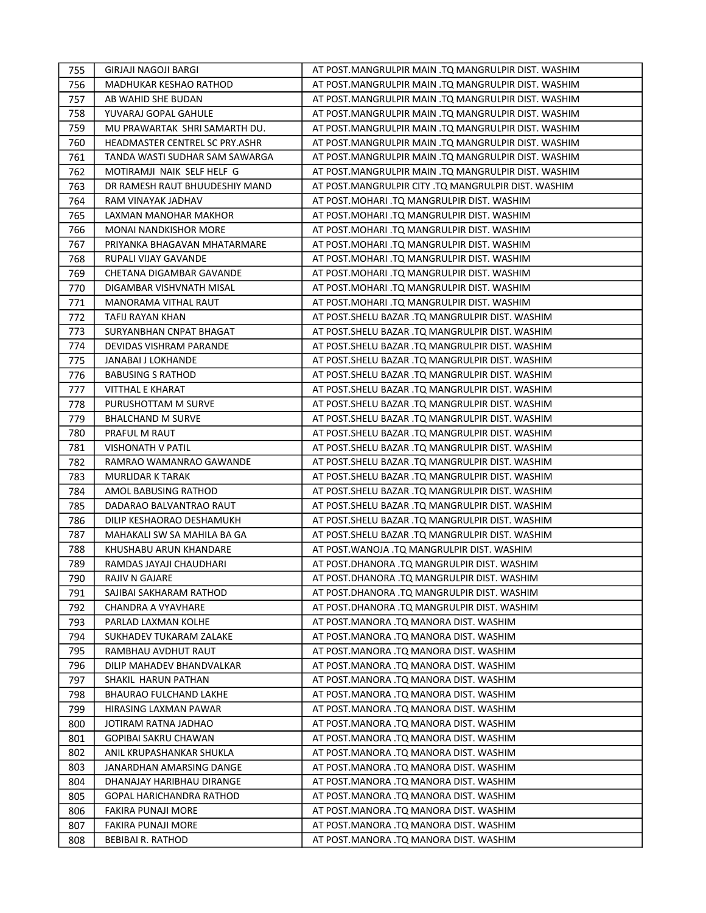| 755 | GIRJAJI NAGOJI BARGI           | AT POST.MANGRULPIR MAIN .TQ MANGRULPIR DIST. WASHIM |
|-----|--------------------------------|-----------------------------------------------------|
| 756 | MADHUKAR KESHAO RATHOD         | AT POST.MANGRULPIR MAIN .TQ MANGRULPIR DIST. WASHIM |
| 757 | AB WAHID SHE BUDAN             | AT POST.MANGRULPIR MAIN .TQ MANGRULPIR DIST. WASHIM |
| 758 | YUVARAJ GOPAL GAHULE           | AT POST.MANGRULPIR MAIN .TQ MANGRULPIR DIST. WASHIM |
| 759 | MU PRAWARTAK SHRI SAMARTH DU.  | AT POST.MANGRULPIR MAIN .TQ MANGRULPIR DIST. WASHIM |
| 760 | HEADMASTER CENTREL SC PRY.ASHR | AT POST.MANGRULPIR MAIN .TQ MANGRULPIR DIST. WASHIM |
| 761 | TANDA WASTI SUDHAR SAM SAWARGA | AT POST.MANGRULPIR MAIN .TQ MANGRULPIR DIST. WASHIM |
| 762 | MOTIRAMJI NAIK SELF HELF G     | AT POST.MANGRULPIR MAIN .TQ MANGRULPIR DIST. WASHIM |
| 763 | DR RAMESH RAUT BHUUDESHIY MAND | AT POST.MANGRULPIR CITY .TQ MANGRULPIR DIST. WASHIM |
| 764 | RAM VINAYAK JADHAV             | AT POST. MOHARI .TQ MANGRULPIR DIST. WASHIM         |
| 765 | LAXMAN MANOHAR MAKHOR          | AT POST.MOHARI .TQ MANGRULPIR DIST. WASHIM          |
| 766 | <b>MONAI NANDKISHOR MORE</b>   | AT POST. MOHARI .TQ MANGRULPIR DIST. WASHIM         |
| 767 | PRIYANKA BHAGAVAN MHATARMARE   | AT POST.MOHARI .TQ MANGRULPIR DIST. WASHIM          |
| 768 | RUPALI VIJAY GAVANDE           | AT POST.MOHARI .TQ MANGRULPIR DIST. WASHIM          |
| 769 | CHETANA DIGAMBAR GAVANDE       | AT POST.MOHARI .TQ MANGRULPIR DIST. WASHIM          |
| 770 | DIGAMBAR VISHVNATH MISAL       | AT POST.MOHARI .TQ MANGRULPIR DIST. WASHIM          |
| 771 | MANORAMA VITHAL RAUT           | AT POST. MOHARI .TQ MANGRULPIR DIST. WASHIM         |
| 772 | TAFIJ RAYAN KHAN               | AT POST.SHELU BAZAR .TQ MANGRULPIR DIST. WASHIM     |
| 773 | SURYANBHAN CNPAT BHAGAT        | AT POST.SHELU BAZAR .TQ MANGRULPIR DIST. WASHIM     |
| 774 | DEVIDAS VISHRAM PARANDE        | AT POST.SHELU BAZAR .TQ MANGRULPIR DIST. WASHIM     |
| 775 | JANABAI J LOKHANDE             | AT POST.SHELU BAZAR .TQ MANGRULPIR DIST. WASHIM     |
| 776 | <b>BABUSING S RATHOD</b>       | AT POST.SHELU BAZAR .TQ MANGRULPIR DIST. WASHIM     |
| 777 | VITTHAL E KHARAT               | AT POST.SHELU BAZAR .TQ MANGRULPIR DIST. WASHIM     |
| 778 | PURUSHOTTAM M SURVE            | AT POST.SHELU BAZAR .TQ MANGRULPIR DIST. WASHIM     |
| 779 | <b>BHALCHAND M SURVE</b>       | AT POST.SHELU BAZAR .TQ MANGRULPIR DIST. WASHIM     |
| 780 | PRAFUL M RAUT                  | AT POST. SHELU BAZAR .TQ MANGRULPIR DIST. WASHIM    |
| 781 | VISHONATH V PATIL              | AT POST. SHELU BAZAR . TQ MANGRULPIR DIST. WASHIM   |
| 782 | RAMRAO WAMANRAO GAWANDE        | AT POST.SHELU BAZAR .TQ MANGRULPIR DIST. WASHIM     |
| 783 | MURLIDAR K TARAK               | AT POST. SHELU BAZAR .TQ MANGRULPIR DIST. WASHIM    |
| 784 | AMOL BABUSING RATHOD           | AT POST.SHELU BAZAR .TQ MANGRULPIR DIST. WASHIM     |
| 785 | DADARAO BALVANTRAO RAUT        | AT POST.SHELU BAZAR .TQ MANGRULPIR DIST. WASHIM     |
| 786 | DILIP KESHAORAO DESHAMUKH      | AT POST.SHELU BAZAR .TQ MANGRULPIR DIST. WASHIM     |
| 787 | MAHAKALI SW SA MAHILA BA GA    | AT POST.SHELU BAZAR .TQ MANGRULPIR DIST. WASHIM     |
| 788 | KHUSHABU ARUN KHANDARE         | AT POST. WANOJA .TQ MANGRULPIR DIST. WASHIM         |
| 789 | RAMDAS JAYAJI CHAUDHARI        | AT POST.DHANORA .TQ MANGRULPIR DIST. WASHIM         |
| 790 | <b>RAJIV N GAJARE</b>          | AT POST.DHANORA .TQ MANGRULPIR DIST. WASHIM         |
| 791 | SAJIBAI SAKHARAM RATHOD        | AT POST.DHANORA .TQ MANGRULPIR DIST. WASHIM         |
| 792 | CHANDRA A VYAVHARE             | AT POST.DHANORA .TQ MANGRULPIR DIST. WASHIM         |
| 793 | PARLAD LAXMAN KOLHE            | AT POST.MANORA .TQ MANORA DIST. WASHIM              |
| 794 | SUKHADEV TUKARAM ZALAKE        | AT POST.MANORA .TQ MANORA DIST. WASHIM              |
| 795 | RAMBHAU AVDHUT RAUT            | AT POST.MANORA .TQ MANORA DIST. WASHIM              |
| 796 | DILIP MAHADEV BHANDVALKAR      | AT POST.MANORA .TQ MANORA DIST. WASHIM              |
| 797 | SHAKIL HARUN PATHAN            | AT POST.MANORA .TQ MANORA DIST. WASHIM              |
| 798 | <b>BHAURAO FULCHAND LAKHE</b>  | AT POST.MANORA .TQ MANORA DIST. WASHIM              |
| 799 | HIRASING LAXMAN PAWAR          | AT POST.MANORA .TQ MANORA DIST. WASHIM              |
| 800 | JOTIRAM RATNA JADHAO           | AT POST.MANORA .TQ MANORA DIST. WASHIM              |
| 801 | <b>GOPIBAI SAKRU CHAWAN</b>    | AT POST.MANORA .TQ MANORA DIST. WASHIM              |
| 802 | ANIL KRUPASHANKAR SHUKLA       | AT POST.MANORA .TQ MANORA DIST. WASHIM              |
| 803 | JANARDHAN AMARSING DANGE       | AT POST.MANORA .TQ MANORA DIST. WASHIM              |
| 804 | DHANAJAY HARIBHAU DIRANGE      | AT POST.MANORA .TQ MANORA DIST. WASHIM              |
| 805 | GOPAL HARICHANDRA RATHOD       | AT POST.MANORA .TQ MANORA DIST. WASHIM              |
| 806 | FAKIRA PUNAJI MORE             | AT POST.MANORA .TQ MANORA DIST. WASHIM              |
| 807 | FAKIRA PUNAJI MORE             | AT POST.MANORA .TQ MANORA DIST. WASHIM              |
| 808 | BEBIBAI R. RATHOD              | AT POST.MANORA .TQ MANORA DIST. WASHIM              |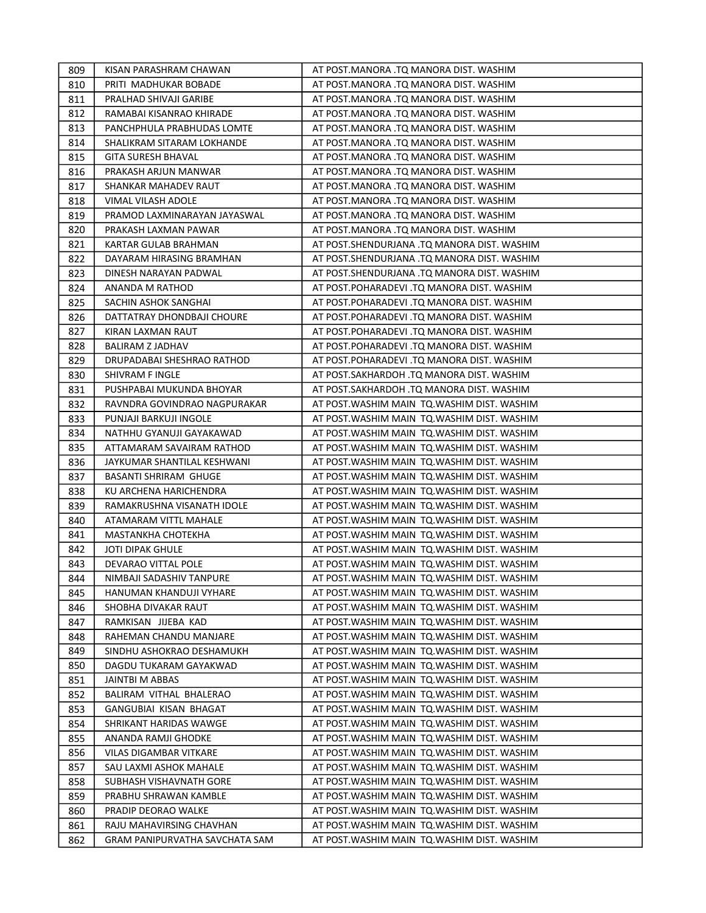| 809 | KISAN PARASHRAM CHAWAN         | AT POST.MANORA .TQ MANORA DIST. WASHIM       |
|-----|--------------------------------|----------------------------------------------|
| 810 | PRITI MADHUKAR BOBADE          | AT POST.MANORA .TQ MANORA DIST. WASHIM       |
| 811 | PRALHAD SHIVAJI GARIBE         | AT POST.MANORA .TQ MANORA DIST. WASHIM       |
| 812 | RAMABAI KISANRAO KHIRADE       | AT POST.MANORA .TQ MANORA DIST. WASHIM       |
| 813 | PANCHPHULA PRABHUDAS LOMTE     | AT POST.MANORA .TQ MANORA DIST. WASHIM       |
| 814 | SHALIKRAM SITARAM LOKHANDE     | AT POST.MANORA .TQ MANORA DIST. WASHIM       |
| 815 | <b>GITA SURESH BHAVAL</b>      | AT POST.MANORA .TQ MANORA DIST. WASHIM       |
| 816 | PRAKASH ARJUN MANWAR           | AT POST.MANORA .TQ MANORA DIST. WASHIM       |
| 817 | SHANKAR MAHADEV RAUT           | AT POST.MANORA .TQ MANORA DIST. WASHIM       |
| 818 | VIMAL VILASH ADOLE             | AT POST.MANORA .TQ MANORA DIST. WASHIM       |
| 819 | PRAMOD LAXMINARAYAN JAYASWAL   | AT POST.MANORA .TQ MANORA DIST. WASHIM       |
| 820 | PRAKASH LAXMAN PAWAR           | AT POST.MANORA .TQ MANORA DIST. WASHIM       |
| 821 | KARTAR GULAB BRAHMAN           | AT POST.SHENDURJANA .TQ MANORA DIST. WASHIM  |
| 822 | DAYARAM HIRASING BRAMHAN       | AT POST.SHENDURJANA .TQ MANORA DIST. WASHIM  |
| 823 | DINESH NARAYAN PADWAL          | AT POST.SHENDURJANA .TQ MANORA DIST. WASHIM  |
| 824 | <b>ANANDA M RATHOD</b>         | AT POST.POHARADEVI .TQ MANORA DIST. WASHIM   |
| 825 | SACHIN ASHOK SANGHAI           | AT POST.POHARADEVI .TQ MANORA DIST. WASHIM   |
| 826 | DATTATRAY DHONDBAJI CHOURE     | AT POST.POHARADEVI .TQ MANORA DIST. WASHIM   |
| 827 | KIRAN LAXMAN RAUT              | AT POST.POHARADEVI .TQ MANORA DIST. WASHIM   |
| 828 | BALIRAM Z JADHAV               | AT POST.POHARADEVI .TQ MANORA DIST. WASHIM   |
| 829 | DRUPADABAI SHESHRAO RATHOD     | AT POST.POHARADEVI .TQ MANORA DIST. WASHIM   |
| 830 | SHIVRAM F INGLE                | AT POST.SAKHARDOH .TQ MANORA DIST. WASHIM    |
| 831 | PUSHPABAI MUKUNDA BHOYAR       | AT POST.SAKHARDOH .TQ MANORA DIST. WASHIM    |
| 832 | RAVNDRA GOVINDRAO NAGPURAKAR   | AT POST. WASHIM MAIN TQ. WASHIM DIST. WASHIM |
| 833 | PUNJAJI BARKUJI INGOLE         | AT POST. WASHIM MAIN TQ. WASHIM DIST. WASHIM |
| 834 | NATHHU GYANUJI GAYAKAWAD       | AT POST. WASHIM MAIN TO. WASHIM DIST. WASHIM |
| 835 | ATTAMARAM SAVAIRAM RATHOD      | AT POST. WASHIM MAIN TO. WASHIM DIST. WASHIM |
| 836 | JAYKUMAR SHANTILAL KESHWANI    | AT POST. WASHIM MAIN TQ. WASHIM DIST. WASHIM |
| 837 | BASANTI SHRIRAM GHUGE          | AT POST. WASHIM MAIN TQ. WASHIM DIST. WASHIM |
| 838 | KU ARCHENA HARICHENDRA         | AT POST. WASHIM MAIN TQ. WASHIM DIST. WASHIM |
| 839 | RAMAKRUSHNA VISANATH IDOLE     | AT POST. WASHIM MAIN TQ. WASHIM DIST. WASHIM |
| 840 | ATAMARAM VITTL MAHALE          | AT POST. WASHIM MAIN TQ. WASHIM DIST. WASHIM |
| 841 | MASTANKHA CHOTEKHA             | AT POST. WASHIM MAIN TO. WASHIM DIST. WASHIM |
| 842 | <b>JOTI DIPAK GHULE</b>        | AT POST. WASHIM MAIN TO. WASHIM DIST. WASHIM |
| 843 | DEVARAO VITTAL POLE            | AT POST. WASHIM MAIN TO. WASHIM DIST. WASHIM |
| 844 | NIMBAJI SADASHIV TANPURE       | AT POST. WASHIM MAIN TQ. WASHIM DIST. WASHIM |
| 845 | HANUMAN KHANDUJI VYHARE        | AT POST. WASHIM MAIN TQ. WASHIM DIST. WASHIM |
| 846 | SHOBHA DIVAKAR RAUT            | AT POST. WASHIM MAIN TQ. WASHIM DIST. WASHIM |
| 847 | RAMKISAN JIJEBA KAD            | AT POST. WASHIM MAIN TQ. WASHIM DIST. WASHIM |
| 848 | RAHEMAN CHANDU MANJARE         | AT POST. WASHIM MAIN TO. WASHIM DIST. WASHIM |
| 849 | SINDHU ASHOKRAO DESHAMUKH      | AT POST. WASHIM MAIN TQ. WASHIM DIST. WASHIM |
| 850 | DAGDU TUKARAM GAYAKWAD         | AT POST. WASHIM MAIN TQ. WASHIM DIST. WASHIM |
| 851 | JAINTBI M ABBAS                | AT POST. WASHIM MAIN TO. WASHIM DIST. WASHIM |
| 852 | BALIRAM VITHAL BHALERAO        | AT POST. WASHIM MAIN TQ. WASHIM DIST. WASHIM |
| 853 | GANGUBIAI KISAN BHAGAT         | AT POST. WASHIM MAIN TO. WASHIM DIST. WASHIM |
| 854 | SHRIKANT HARIDAS WAWGE         | AT POST. WASHIM MAIN TO. WASHIM DIST. WASHIM |
| 855 | ANANDA RAMJI GHODKE            | AT POST. WASHIM MAIN TO. WASHIM DIST. WASHIM |
| 856 | VILAS DIGAMBAR VITKARE         | AT POST. WASHIM MAIN TQ. WASHIM DIST. WASHIM |
| 857 | SAU LAXMI ASHOK MAHALE         | AT POST. WASHIM MAIN TQ. WASHIM DIST. WASHIM |
| 858 | SUBHASH VISHAVNATH GORE        | AT POST. WASHIM MAIN TQ. WASHIM DIST. WASHIM |
| 859 | PRABHU SHRAWAN KAMBLE          | AT POST. WASHIM MAIN TQ. WASHIM DIST. WASHIM |
| 860 | PRADIP DEORAO WALKE            | AT POST. WASHIM MAIN TQ. WASHIM DIST. WASHIM |
| 861 | RAJU MAHAVIRSING CHAVHAN       | AT POST. WASHIM MAIN TQ. WASHIM DIST. WASHIM |
| 862 | GRAM PANIPURVATHA SAVCHATA SAM | AT POST. WASHIM MAIN TQ. WASHIM DIST. WASHIM |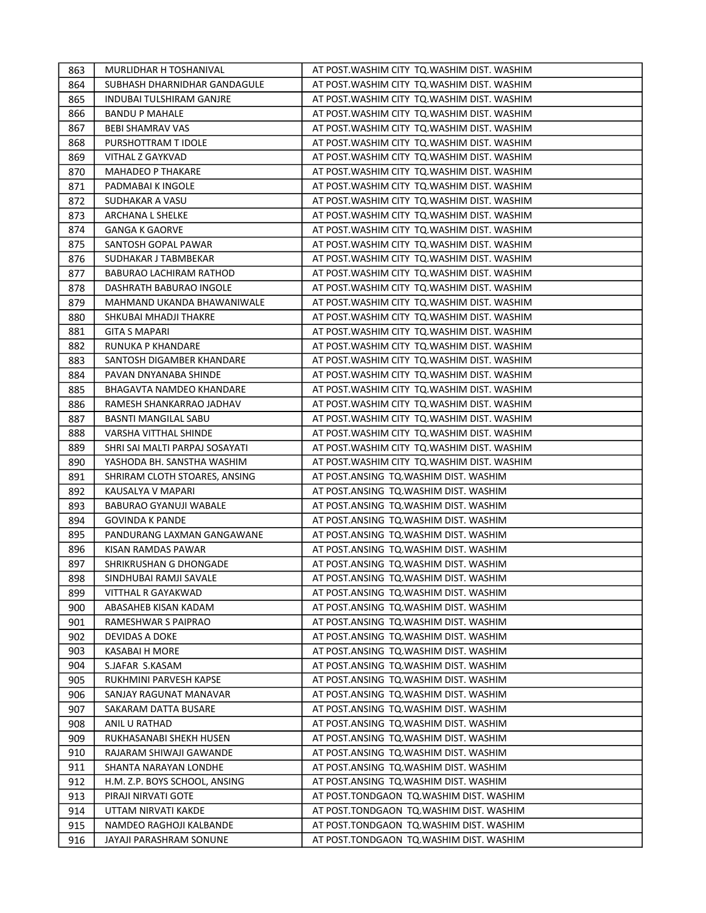| 863 | MURLIDHAR H TOSHANIVAL          | AT POST. WASHIM CITY TO. WASHIM DIST. WASHIM |
|-----|---------------------------------|----------------------------------------------|
| 864 | SUBHASH DHARNIDHAR GANDAGULE    | AT POST. WASHIM CITY TO. WASHIM DIST. WASHIM |
| 865 | <b>INDUBAI TULSHIRAM GANJRE</b> | AT POST.WASHIM CITY TQ.WASHIM DIST. WASHIM   |
| 866 | <b>BANDU P MAHALE</b>           | AT POST.WASHIM CITY TQ.WASHIM DIST. WASHIM   |
| 867 | <b>BEBI SHAMRAV VAS</b>         | AT POST. WASHIM CITY TQ. WASHIM DIST. WASHIM |
| 868 | PURSHOTTRAM T IDOLE             | AT POST. WASHIM CITY TO. WASHIM DIST. WASHIM |
| 869 | VITHAL Z GAYKVAD                | AT POST. WASHIM CITY TO. WASHIM DIST. WASHIM |
| 870 | <b>MAHADEO P THAKARE</b>        | AT POST.WASHIM CITY TQ.WASHIM DIST. WASHIM   |
| 871 | PADMABAI K INGOLE               | AT POST.WASHIM CITY TQ.WASHIM DIST. WASHIM   |
| 872 | SUDHAKAR A VASU                 | AT POST.WASHIM CITY TQ.WASHIM DIST. WASHIM   |
| 873 | ARCHANA L SHELKE                | AT POST.WASHIM CITY TQ.WASHIM DIST. WASHIM   |
| 874 | <b>GANGA K GAORVE</b>           | AT POST. WASHIM CITY TQ. WASHIM DIST. WASHIM |
| 875 | SANTOSH GOPAL PAWAR             | AT POST.WASHIM CITY TQ.WASHIM DIST. WASHIM   |
| 876 | SUDHAKAR J TABMBEKAR            | AT POST.WASHIM CITY TQ.WASHIM DIST. WASHIM   |
| 877 | BABURAO LACHIRAM RATHOD         | AT POST.WASHIM CITY TQ.WASHIM DIST. WASHIM   |
| 878 | DASHRATH BABURAO INGOLE         | AT POST. WASHIM CITY TO. WASHIM DIST. WASHIM |
| 879 | MAHMAND UKANDA BHAWANIWALE      | AT POST. WASHIM CITY TO. WASHIM DIST. WASHIM |
| 880 | SHKUBAI MHADJI THAKRE           | AT POST.WASHIM CITY TQ.WASHIM DIST. WASHIM   |
| 881 | <b>GITA S MAPARI</b>            | AT POST. WASHIM CITY TQ. WASHIM DIST. WASHIM |
| 882 | RUNUKA P KHANDARE               | AT POST. WASHIM CITY TO. WASHIM DIST. WASHIM |
| 883 | SANTOSH DIGAMBER KHANDARE       | AT POST.WASHIM CITY TQ.WASHIM DIST. WASHIM   |
| 884 | PAVAN DNYANABA SHINDE           | AT POST.WASHIM CITY TQ.WASHIM DIST. WASHIM   |
| 885 | BHAGAVTA NAMDEO KHANDARE        | AT POST.WASHIM CITY TQ.WASHIM DIST. WASHIM   |
| 886 | RAMESH SHANKARRAO JADHAV        | AT POST.WASHIM CITY TQ.WASHIM DIST. WASHIM   |
| 887 | BASNTI MANGILAL SABU            | AT POST. WASHIM CITY TQ. WASHIM DIST. WASHIM |
| 888 | VARSHA VITTHAL SHINDE           | AT POST. WASHIM CITY TQ. WASHIM DIST. WASHIM |
| 889 | SHRI SAI MALTI PARPAJ SOSAYATI  | AT POST. WASHIM CITY TO. WASHIM DIST. WASHIM |
| 890 | YASHODA BH. SANSTHA WASHIM      | AT POST.WASHIM CITY TQ.WASHIM DIST. WASHIM   |
| 891 | SHRIRAM CLOTH STOARES, ANSING   | AT POST.ANSING TQ.WASHIM DIST. WASHIM        |
| 892 | KAUSALYA V MAPARI               | AT POST.ANSING TQ.WASHIM DIST. WASHIM        |
| 893 | BABURAO GYANUJI WABALE          | AT POST.ANSING TQ.WASHIM DIST. WASHIM        |
| 894 | <b>GOVINDA K PANDE</b>          | AT POST.ANSING TQ.WASHIM DIST. WASHIM        |
| 895 | PANDURANG LAXMAN GANGAWANE      | AT POST.ANSING TQ.WASHIM DIST. WASHIM        |
| 896 | KISAN RAMDAS PAWAR              | AT POST.ANSING TQ.WASHIM DIST. WASHIM        |
| 897 | SHRIKRUSHAN G DHONGADE          | AT POST.ANSING TQ.WASHIM DIST. WASHIM        |
| 898 | SINDHUBAI RAMJI SAVALE          | AT POST.ANSING TQ.WASHIM DIST. WASHIM        |
| 899 | VITTHAL R GAYAKWAD              | AT POST.ANSING TO.WASHIM DIST. WASHIM        |
| 900 | ABASAHEB KISAN KADAM            | AT POST.ANSING TQ.WASHIM DIST. WASHIM        |
| 901 | RAMESHWAR S PAIPRAO             | AT POST.ANSING TQ.WASHIM DIST. WASHIM        |
| 902 | DEVIDAS A DOKE                  | AT POST.ANSING TQ.WASHIM DIST. WASHIM        |
| 903 | KASABAI H MORE                  | AT POST.ANSING TQ.WASHIM DIST. WASHIM        |
| 904 | S.JAFAR S.KASAM                 | AT POST.ANSING TQ.WASHIM DIST. WASHIM        |
| 905 | RUKHMINI PARVESH KAPSE          | AT POST.ANSING TQ.WASHIM DIST. WASHIM        |
| 906 | SANJAY RAGUNAT MANAVAR          | AT POST.ANSING TQ.WASHIM DIST. WASHIM        |
| 907 | SAKARAM DATTA BUSARE            | AT POST.ANSING TO.WASHIM DIST. WASHIM        |
| 908 | ANIL U RATHAD                   | AT POST.ANSING TQ.WASHIM DIST. WASHIM        |
| 909 | RUKHASANABI SHEKH HUSEN         | AT POST.ANSING TQ.WASHIM DIST. WASHIM        |
| 910 | RAJARAM SHIWAJI GAWANDE         | AT POST.ANSING TQ.WASHIM DIST. WASHIM        |
| 911 | SHANTA NARAYAN LONDHE           | AT POST.ANSING TQ.WASHIM DIST. WASHIM        |
| 912 | H.M. Z.P. BOYS SCHOOL, ANSING   | AT POST.ANSING TQ.WASHIM DIST. WASHIM        |
| 913 | PIRAJI NIRVATI GOTE             | AT POST.TONDGAON TQ.WASHIM DIST. WASHIM      |
| 914 | UTTAM NIRVATI KAKDE             | AT POST. TONDGAON TQ. WASHIM DIST. WASHIM    |
| 915 | NAMDEO RAGHOJI KALBANDE         | AT POST.TONDGAON TQ.WASHIM DIST. WASHIM      |
| 916 | JAYAJI PARASHRAM SONUNE         | AT POST.TONDGAON TQ.WASHIM DIST. WASHIM      |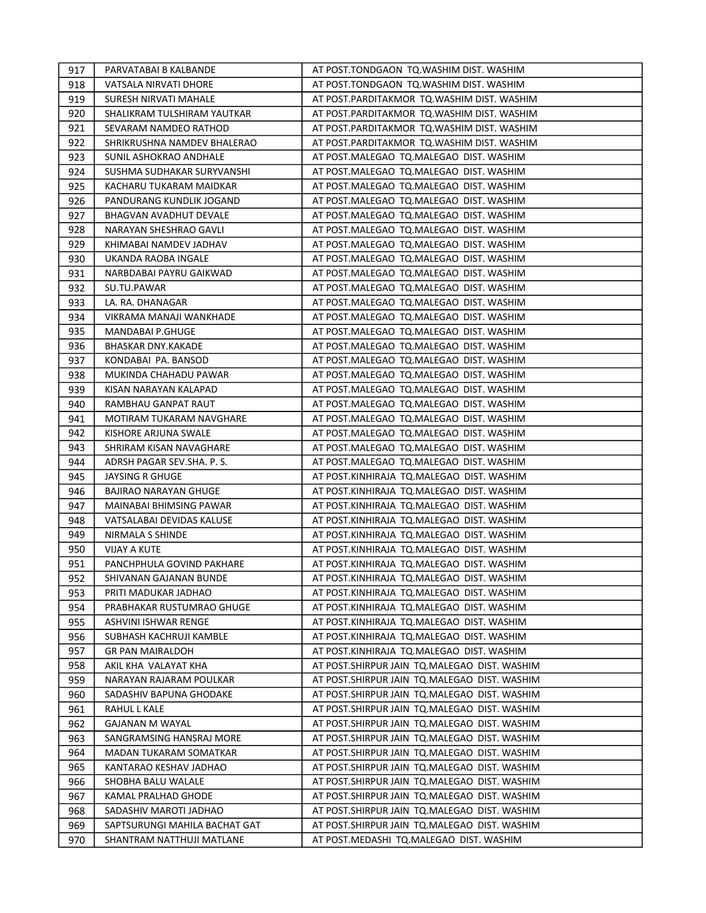| 917 | PARVATABAI B KALBANDE         | AT POST.TONDGAON TQ.WASHIM DIST. WASHIM      |
|-----|-------------------------------|----------------------------------------------|
| 918 | VATSALA NIRVATI DHORE         | AT POST.TONDGAON TQ.WASHIM DIST. WASHIM      |
| 919 | SURESH NIRVATI MAHALE         | AT POST.PARDITAKMOR TQ.WASHIM DIST. WASHIM   |
| 920 | SHALIKRAM TULSHIRAM YAUTKAR   | AT POST.PARDITAKMOR TQ.WASHIM DIST. WASHIM   |
| 921 | SEVARAM NAMDEO RATHOD         | AT POST.PARDITAKMOR TQ.WASHIM DIST. WASHIM   |
| 922 | SHRIKRUSHNA NAMDEV BHALERAO   | AT POST.PARDITAKMOR TQ.WASHIM DIST. WASHIM   |
| 923 | SUNIL ASHOKRAO ANDHALE        | AT POST.MALEGAO TQ.MALEGAO DIST. WASHIM      |
| 924 | SUSHMA SUDHAKAR SURYVANSHI    | AT POST.MALEGAO TQ.MALEGAO DIST. WASHIM      |
| 925 | KACHARU TUKARAM MAIDKAR       | AT POST.MALEGAO TQ.MALEGAO DIST. WASHIM      |
| 926 | PANDURANG KUNDLIK JOGAND      | AT POST.MALEGAO TQ.MALEGAO DIST. WASHIM      |
| 927 | BHAGVAN AVADHUT DEVALE        | AT POST.MALEGAO TQ.MALEGAO DIST. WASHIM      |
| 928 | NARAYAN SHESHRAO GAVLI        | AT POST.MALEGAO TQ.MALEGAO DIST. WASHIM      |
| 929 | KHIMABAI NAMDEV JADHAV        | AT POST.MALEGAO TQ.MALEGAO DIST. WASHIM      |
| 930 | UKANDA RAOBA INGALE           | AT POST.MALEGAO TQ.MALEGAO DIST. WASHIM      |
| 931 | NARBDABAI PAYRU GAIKWAD       | AT POST.MALEGAO TQ.MALEGAO DIST. WASHIM      |
| 932 | SU.TU.PAWAR                   | AT POST.MALEGAO TQ.MALEGAO DIST. WASHIM      |
| 933 | LA. RA. DHANAGAR              | AT POST.MALEGAO TQ.MALEGAO DIST. WASHIM      |
| 934 | VIKRAMA MANAJI WANKHADE       | AT POST.MALEGAO TQ.MALEGAO DIST. WASHIM      |
| 935 | <b>MANDABAI P.GHUGE</b>       | AT POST.MALEGAO TQ.MALEGAO DIST. WASHIM      |
| 936 | <b>BHASKAR DNY.KAKADE</b>     | AT POST.MALEGAO TQ.MALEGAO DIST. WASHIM      |
| 937 | KONDABAI PA. BANSOD           | AT POST.MALEGAO TQ.MALEGAO DIST. WASHIM      |
| 938 | MUKINDA CHAHADU PAWAR         | AT POST.MALEGAO TQ.MALEGAO DIST. WASHIM      |
| 939 | KISAN NARAYAN KALAPAD         | AT POST.MALEGAO TQ.MALEGAO DIST. WASHIM      |
| 940 | RAMBHAU GANPAT RAUT           | AT POST.MALEGAO TQ.MALEGAO DIST. WASHIM      |
| 941 | MOTIRAM TUKARAM NAVGHARE      | AT POST.MALEGAO TQ.MALEGAO DIST. WASHIM      |
| 942 | KISHORE ARJUNA SWALE          | AT POST.MALEGAO TQ.MALEGAO DIST. WASHIM      |
| 943 | SHRIRAM KISAN NAVAGHARE       | AT POST.MALEGAO TQ.MALEGAO DIST. WASHIM      |
| 944 | ADRSH PAGAR SEV.SHA. P. S.    | AT POST.MALEGAO TQ.MALEGAO DIST. WASHIM      |
| 945 | JAYSING R GHUGE               | AT POST.KINHIRAJA TQ.MALEGAO DIST. WASHIM    |
| 946 | <b>BAJIRAO NARAYAN GHUGE</b>  | AT POST.KINHIRAJA TQ.MALEGAO DIST. WASHIM    |
| 947 | MAINABAI BHIMSING PAWAR       | AT POST.KINHIRAJA TQ.MALEGAO DIST. WASHIM    |
| 948 | VATSALABAI DEVIDAS KALUSE     | AT POST.KINHIRAJA TQ.MALEGAO DIST. WASHIM    |
| 949 | NIRMALA S SHINDE              | AT POST.KINHIRAJA TQ.MALEGAO DIST. WASHIM    |
| 950 | VIJAY A KUTE                  | AT POST.KINHIRAJA TQ.MALEGAO DIST. WASHIM    |
| 951 | PANCHPHULA GOVIND PAKHARE     | AT POST.KINHIRAJA TQ.MALEGAO DIST. WASHIM    |
| 952 | SHIVANAN GAJANAN BUNDE        | AT POST.KINHIRAJA TO.MALEGAO DIST. WASHIM    |
| 953 | PRITI MADUKAR JADHAO          | AT POST.KINHIRAJA TQ.MALEGAO DIST. WASHIM    |
| 954 | PRABHAKAR RUSTUMRAO GHUGE     | AT POST.KINHIRAJA TQ.MALEGAO DIST. WASHIM    |
| 955 | ASHVINI ISHWAR RENGE          | AT POST.KINHIRAJA TQ.MALEGAO DIST. WASHIM    |
| 956 | SUBHASH KACHRUJI KAMBLE       | AT POST.KINHIRAJA TQ.MALEGAO DIST. WASHIM    |
| 957 | <b>GR PAN MAIRALDOH</b>       | AT POST.KINHIRAJA TQ.MALEGAO DIST. WASHIM    |
| 958 | AKIL KHA VALAYAT KHA          | AT POST.SHIRPUR JAIN TQ.MALEGAO DIST. WASHIM |
| 959 | NARAYAN RAJARAM POULKAR       | AT POST.SHIRPUR JAIN TQ.MALEGAO DIST. WASHIM |
| 960 | SADASHIV BAPUNA GHODAKE       | AT POST.SHIRPUR JAIN TQ.MALEGAO DIST. WASHIM |
| 961 | RAHUL L KALE                  | AT POST.SHIRPUR JAIN TQ.MALEGAO DIST. WASHIM |
| 962 | GAJANAN M WAYAL               | AT POST.SHIRPUR JAIN TQ.MALEGAO DIST. WASHIM |
| 963 | SANGRAMSING HANSRAJ MORE      | AT POST.SHIRPUR JAIN TQ.MALEGAO DIST. WASHIM |
| 964 | MADAN TUKARAM SOMATKAR        | AT POST.SHIRPUR JAIN TQ.MALEGAO DIST. WASHIM |
| 965 | KANTARAO KESHAV JADHAO        | AT POST.SHIRPUR JAIN TQ.MALEGAO DIST. WASHIM |
| 966 | SHOBHA BALU WALALE            | AT POST.SHIRPUR JAIN TQ.MALEGAO DIST. WASHIM |
| 967 | KAMAL PRALHAD GHODE           | AT POST.SHIRPUR JAIN TQ.MALEGAO DIST. WASHIM |
| 968 | SADASHIV MAROTI JADHAO        | AT POST.SHIRPUR JAIN TQ.MALEGAO DIST. WASHIM |
| 969 | SAPTSURUNGI MAHILA BACHAT GAT | AT POST.SHIRPUR JAIN TQ.MALEGAO DIST. WASHIM |
| 970 | SHANTRAM NATTHUJI MATLANE     | AT POST.MEDASHI TQ.MALEGAO DIST. WASHIM      |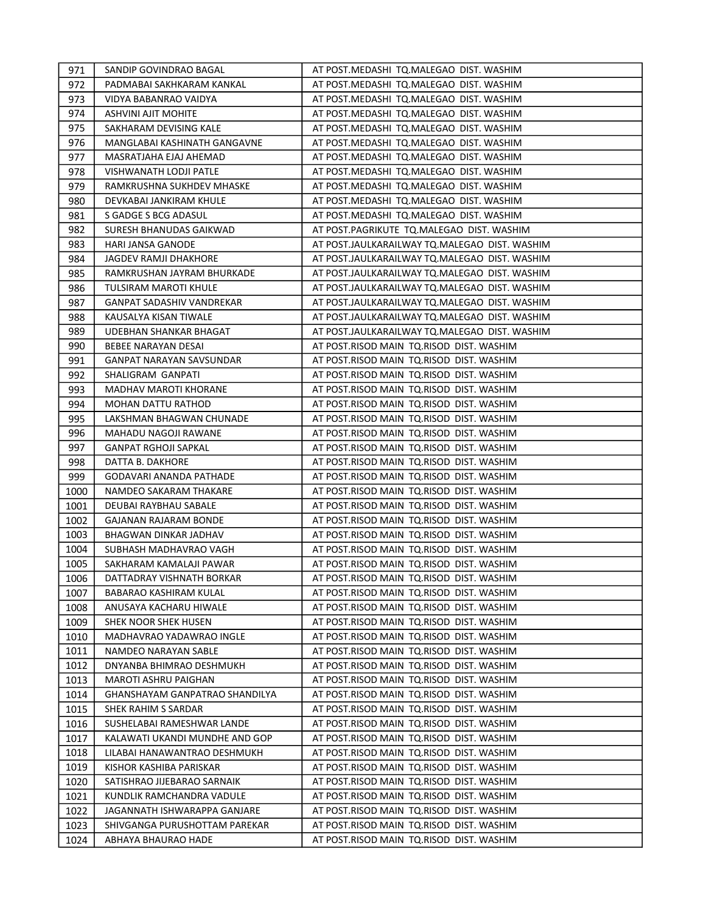| 971  | SANDIP GOVINDRAO BAGAL           | AT POST.MEDASHI TQ.MALEGAO DIST. WASHIM       |
|------|----------------------------------|-----------------------------------------------|
| 972  | PADMABAI SAKHKARAM KANKAL        | AT POST.MEDASHI TQ.MALEGAO DIST. WASHIM       |
| 973  | VIDYA BABANRAO VAIDYA            | AT POST.MEDASHI TQ.MALEGAO DIST. WASHIM       |
| 974  | ASHVINI AJIT MOHITE              | AT POST.MEDASHI TQ.MALEGAO DIST. WASHIM       |
| 975  | SAKHARAM DEVISING KALE           | AT POST.MEDASHI TQ.MALEGAO DIST. WASHIM       |
| 976  | MANGLABAI KASHINATH GANGAVNE     | AT POST.MEDASHI TQ.MALEGAO DIST. WASHIM       |
| 977  | MASRATJAHA EJAJ AHEMAD           | AT POST.MEDASHI TQ.MALEGAO DIST. WASHIM       |
| 978  | VISHWANATH LODJI PATLE           | AT POST.MEDASHI TQ.MALEGAO DIST. WASHIM       |
| 979  | RAMKRUSHNA SUKHDEV MHASKE        | AT POST.MEDASHI TQ.MALEGAO DIST. WASHIM       |
| 980  | DEVKABAI JANKIRAM KHULE          | AT POST.MEDASHI TQ.MALEGAO DIST. WASHIM       |
| 981  | S GADGE S BCG ADASUL             | AT POST.MEDASHI TQ.MALEGAO DIST. WASHIM       |
| 982  | SURESH BHANUDAS GAIKWAD          | AT POST.PAGRIKUTE TQ.MALEGAO DIST. WASHIM     |
| 983  | HARI JANSA GANODE                | AT POST.JAULKARAILWAY TQ.MALEGAO DIST. WASHIM |
| 984  | JAGDEV RAMJI DHAKHORE            | AT POST.JAULKARAILWAY TQ.MALEGAO DIST. WASHIM |
| 985  | RAMKRUSHAN JAYRAM BHURKADE       | AT POST.JAULKARAILWAY TQ.MALEGAO DIST. WASHIM |
| 986  | <b>TULSIRAM MAROTI KHULE</b>     | AT POST.JAULKARAILWAY TQ.MALEGAO DIST. WASHIM |
| 987  | <b>GANPAT SADASHIV VANDREKAR</b> | AT POST.JAULKARAILWAY TQ.MALEGAO DIST. WASHIM |
| 988  | KAUSALYA KISAN TIWALE            | AT POST.JAULKARAILWAY TQ.MALEGAO DIST. WASHIM |
| 989  | UDEBHAN SHANKAR BHAGAT           | AT POST.JAULKARAILWAY TQ.MALEGAO DIST. WASHIM |
| 990  | BEBEE NARAYAN DESAI              | AT POST.RISOD MAIN TQ.RISOD DIST. WASHIM      |
| 991  | GANPAT NARAYAN SAVSUNDAR         | AT POST.RISOD MAIN TQ.RISOD DIST. WASHIM      |
| 992  | SHALIGRAM GANPATI                | AT POST.RISOD MAIN TQ.RISOD DIST. WASHIM      |
| 993  | <b>MADHAV MAROTI KHORANE</b>     | AT POST.RISOD MAIN TQ.RISOD DIST. WASHIM      |
| 994  | <b>MOHAN DATTU RATHOD</b>        | AT POST.RISOD MAIN TQ.RISOD DIST. WASHIM      |
| 995  | LAKSHMAN BHAGWAN CHUNADE         | AT POST.RISOD MAIN TQ.RISOD DIST. WASHIM      |
| 996  | MAHADU NAGOJI RAWANE             | AT POST.RISOD MAIN TQ.RISOD DIST. WASHIM      |
| 997  | <b>GANPAT RGHOJI SAPKAL</b>      | AT POST.RISOD MAIN TQ.RISOD DIST. WASHIM      |
| 998  | DATTA B. DAKHORE                 | AT POST.RISOD MAIN TQ.RISOD DIST. WASHIM      |
| 999  | GODAVARI ANANDA PATHADE          | AT POST.RISOD MAIN TQ.RISOD DIST. WASHIM      |
| 1000 | NAMDEO SAKARAM THAKARE           | AT POST.RISOD MAIN TQ.RISOD DIST. WASHIM      |
| 1001 | DEUBAI RAYBHAU SABALE            | AT POST.RISOD MAIN TQ.RISOD DIST. WASHIM      |
| 1002 | GAJANAN RAJARAM BONDE            | AT POST.RISOD MAIN TQ.RISOD DIST. WASHIM      |
| 1003 | BHAGWAN DINKAR JADHAV            | AT POST.RISOD MAIN TQ.RISOD DIST. WASHIM      |
| 1004 | SUBHASH MADHAVRAO VAGH           | AT POST.RISOD MAIN TQ.RISOD DIST. WASHIM      |
| 1005 | SAKHARAM KAMALAJI PAWAR          | AT POST.RISOD MAIN TO.RISOD DIST. WASHIM      |
| 1006 | DATTADRAY VISHNATH BORKAR        | AT POST.RISOD MAIN TQ.RISOD DIST. WASHIM      |
| 1007 | BABARAO KASHIRAM KULAL           | AT POST.RISOD MAIN TQ.RISOD DIST. WASHIM      |
| 1008 | ANUSAYA KACHARU HIWALE           | AT POST.RISOD MAIN TQ.RISOD DIST. WASHIM      |
| 1009 | SHEK NOOR SHEK HUSEN             | AT POST.RISOD MAIN TQ.RISOD DIST. WASHIM      |
| 1010 | MADHAVRAO YADAWRAO INGLE         | AT POST.RISOD MAIN TQ.RISOD DIST. WASHIM      |
| 1011 | NAMDEO NARAYAN SABLE             | AT POST.RISOD MAIN  TQ.RISOD  DIST. WASHIM    |
| 1012 | DNYANBA BHIMRAO DESHMUKH         | AT POST.RISOD MAIN  TQ.RISOD  DIST. WASHIM    |
| 1013 | MAROTI ASHRU PAIGHAN             | AT POST.RISOD MAIN TQ.RISOD DIST. WASHIM      |
| 1014 | GHANSHAYAM GANPATRAO SHANDILYA   | AT POST.RISOD MAIN TQ.RISOD DIST. WASHIM      |
| 1015 | SHEK RAHIM S SARDAR              | AT POST.RISOD MAIN TQ.RISOD DIST. WASHIM      |
| 1016 | SUSHELABAI RAMESHWAR LANDE       | AT POST.RISOD MAIN TQ.RISOD DIST. WASHIM      |
| 1017 | KALAWATI UKANDI MUNDHE AND GOP   | AT POST.RISOD MAIN TQ.RISOD DIST. WASHIM      |
| 1018 | LILABAI HANAWANTRAO DESHMUKH     | AT POST.RISOD MAIN TQ.RISOD DIST. WASHIM      |
| 1019 | KISHOR KASHIBA PARISKAR          | AT POST.RISOD MAIN TQ.RISOD DIST. WASHIM      |
| 1020 | SATISHRAO JIJEBARAO SARNAIK      | AT POST.RISOD MAIN  TQ.RISOD  DIST. WASHIM    |
| 1021 | KUNDLIK RAMCHANDRA VADULE        | AT POST.RISOD MAIN TQ.RISOD DIST. WASHIM      |
| 1022 | JAGANNATH ISHWARAPPA GANJARE     | AT POST.RISOD MAIN  TQ.RISOD  DIST. WASHIM    |
| 1023 | SHIVGANGA PURUSHOTTAM PAREKAR    | AT POST.RISOD MAIN  TQ.RISOD  DIST. WASHIM    |
| 1024 | ABHAYA BHAURAO HADE              | AT POST.RISOD MAIN  TQ.RISOD  DIST. WASHIM    |